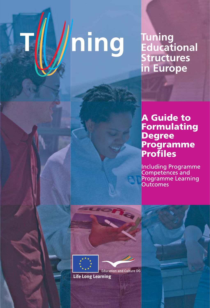# hing

# Tuning<br>Educational **Structures** in Europe

# **A Guide to** Formulating Degree<br>Programme **Profiles**

**Including Programme** Competences and Programme Learning<br>Outcomes

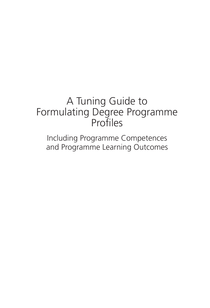# A Tuning Guide to Formulating Degree Programme Profiles

Including Programme Competences and Programme Learning Outcomes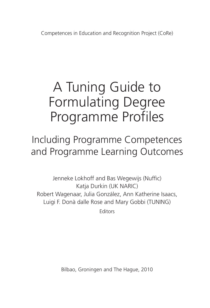Competences in Education and Recognition Project (CoRe)

# A Tuning Guide to Formulating Degree Programme Profiles

Including Programme Competences and Programme Learning Outcomes

Jenneke Lokhoff and Bas Wegewijs (Nuffic) Katja Durkin (UK NARIC) Robert Wagenaar, Julia González, Ann Katherine Isaacs, Luigi F. Donà dalle Rose and Mary Gobbi (TUNING)

**Editors** 

Bilbao, Groningen and The Hague, 2010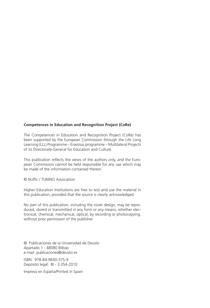#### **Competences in Education and Recognition Project (CoRe)**

The Competences in Education and Recognition Project (CoRe) has been supported by the European Commission through the Life Long Learning (LLL) Programme – Erasmus programme – Multilateral Projects of its Directorate-General for Education and Culture.

This publication reflects the views of the authors only, and the European Commission cannot be held responsible for any use which may be made of the information contained therein.

© Nuffic / TUNING Association

Higher Education Institutions are free to test and use the material in this publication, provided that the source is clearly acknowledged.

No part of this publication, including the cover design, may be reproduced, stored or transmitted in any form or any means, whether electronical, chemical, mechanical, optical, by recording or photocopying, without prior permission of the publisher.

© Publicaciones de la Universidad de Deusto Apartado 1 - 48080 Bilbao e-mail: publicaciones@deusto.es

ISBN: 978-84-9830-375-9 Depósito legal: BI - 3.354-2010

Impreso en España/Printed in Spain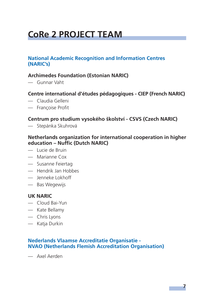# **CoRe 2 PROJECT TEAM**

#### **National Academic Recognition and Information Centres (NARIC's)**

#### **Archimedes Foundation (Estonian NARIC)**

— Gunnar Vaht

#### **Centre international d'études pédagogiques - CIEP (French NARIC)**

- Claudia Gelleni
- Francoise Profit

#### **Centrum pro studium vysokého školství - CSVS (Czech NARIC)**

— Stepánka Skuhrová

#### **Netherlands organization for international cooperation in higher education – Nuffic (Dutch NARIC)**

- Lucie de Bruin
- Marianne Cox
- Susanne Feiertag
- Hendrik Jan Hobbes
- Jenneke Lokhoff
- Bas Wegewijs

#### **UK NARIC**

- Cloud Bai-Yun
- Kate Bellamy
- Chris Lyons
- Katja Durkin

#### **Nederlands Vlaamse Accreditatie Organisatie - NVAO (Netherlands Flemish Accreditation Organisation)**

— Axel Aerden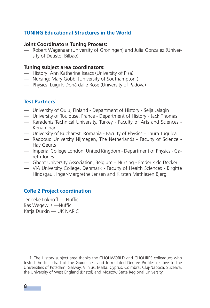#### **TUNING Educational Structures in the World**

#### **Joint Coordinators Tuning Process:**

— Robert Wagenaar (University of Groningen) and Julia Gonzalez (University of Deusto, Bilbao)

#### **Tuning subject area coordinators:**

- History: Ann Katherine Isaacs (University of Pisa)
- Nursing: Mary Gobbi (University of Southampton )
- Physics: Luigi F. Donà dalle Rose (University of Padova)

#### **Test Partners**<sup>1</sup>

- University of Oulu, Finland Department of History Seija Jalagin
- University of Toulouse, France Department of History Jack Thomas
- Karadeniz Technical University, Turkey Faculty of Arts and Sciences Kenan Inan
- University of Bucharest, Romania Faculty of Physics Laura Tugulea
- Radboud University Nijmegen, The Netherlands Faculty of Science Hay Geurts
- Imperial College London, United Kingdom Department of Physics Gareth Jones
- Ghent University Association, Belgium Nursing Frederik de Decker
- VIA University College, Denmark Faculty of Health Sciences Birgitte Hindsgaul, Inger-Margrethe Jensen and Kirsten Mathiesen Bjerg

#### **CoRe 2 Project coordination**

Jenneke Lokhoff — Nuffic Bas Wegewijs —Nuffic Katja Durkin — UK NARIC

<sup>1</sup> The History subject area thanks the CLIOHWORLD and CLIOHRES colleagues who tested the first draft of the Guidelines, and formulated Degree Profiles relative to the Universities of Potsdam, Galway, Vilnius, Malta, Cyprus, Coimbra, Cluj-Napoca, Suceava, the University of West England (Bristol) and Moscow State Regional University.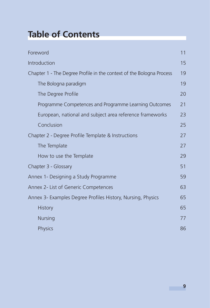# **Table of Contents**

| Foreword                                                             | 11 |
|----------------------------------------------------------------------|----|
| Introduction                                                         | 15 |
| Chapter 1 - The Degree Profile in the context of the Bologna Process | 19 |
| The Bologna paradigm                                                 | 19 |
| The Degree Profile                                                   | 20 |
| Programme Competences and Programme Learning Outcomes                | 21 |
| European, national and subject area reference frameworks             | 23 |
| Conclusion                                                           | 25 |
| Chapter 2 - Degree Profile Template & Instructions                   | 27 |
| The Template                                                         | 27 |
| How to use the Template                                              | 29 |
| Chapter 3 - Glossary                                                 | 51 |
| Annex 1- Designing a Study Programme                                 | 59 |
| Annex 2- List of Generic Competences                                 | 63 |
| Annex 3- Examples Degree Profiles History, Nursing, Physics          | 65 |
| <b>History</b>                                                       | 65 |
| <b>Nursing</b>                                                       | 77 |
| Physics                                                              | 86 |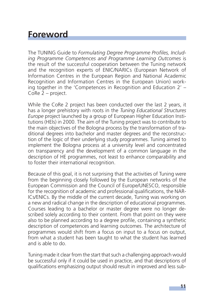## **Foreword**

The TUNING Guide to *Formulating Degree Programme Profiles, Including Programme Competences and Programme Learning Outcomes* is the result of the successful cooperation between the Tuning network and the recognition experts of ENIC/NARICs (European Network of Information Centres in the European Region and National Academic Recognition and Information Centres in the European Union) working together in the 'Competences in Recognition and Education 2' – CoRe 2 – project.

While the CoRe 2 project has been conducted over the last 2 years, it has a longer prehistory with roots in the *Tuning Educational Structures Europe* project launched by a group of European Higher Education Institutions (HEIs) in 2000. The aim of the Tuning project was to contribute to the main objectives of the Bologna process by the transformation of traditional degrees into bachelor and master degrees and the reconstruction of the logic of their underlying study programmes. Tuning aimed to implement the Bologna process at a university level and concentrated on transparency and the development of a common language in the description of HE programmes, not least to enhance comparability and to foster their international recognition.

Because of this goal, it is not surprising that the activities of Tuning were from the beginning closely followed by the European networks of the European Commission and the Council of Europe/UNESCO, responsible for the recognition of academic and professional qualifications, the NAR-ICs/ENICs. By the middle of the current decade, Tuning was working on a new and radical change in the description of educational programmes. Courses leading to a bachelor or master degree were no longer described solely according to their content. From that point on they were also to be planned according to a degree profile, containing a synthetic description of competences and learning outcomes. The architecture of programmes would shift from a focus on input to a focus on output, from what a student has been taught to what the student has learned and is able to do.

Tuning made it clear from the start that such a challenging approach would be successful only if it could be used in practice, and that descriptions of qualifications emphasizing output should result in improved and less sub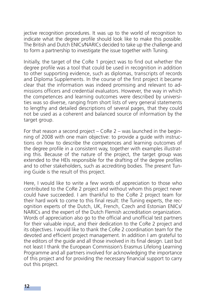jective recognition procedures. It was up to the world of recognition to indicate what the degree profile should look like to make this possible. The British and Dutch ENICs/NARICs decided to take up the challenge and to form a partnership to investigate the issue together with Tuning.

Initially, the target of the CoRe 1 project was to find out whether the degree profile was a tool that could be used in recognition in addition to other supporting evidence, such as diplomas, transcripts of records and Diploma Supplements. In the course of the first project it became clear that the information was indeed promising and relevant to admissions officers and credential evaluators. However, the way in which the competences and learning outcomes were described by universities was so diverse, ranging from short lists of very general statements to lengthy and detailed descriptions of several pages, that they could not be used as a coherent and balanced source of information by the target group.

For that reason a second project – CoRe 2 – was launched in the beginning of 2008 with one main objective: to provide a guide with instructions on how to describe the competences and learning outcomes of the degree profile in a consistent way, together with examples illustrating this. Because of the nature of the project, the target group was extended to the HEIs responsible for the drafting of the degree profiles and to other stakeholders, such as accrediting bodies. The present Tuning Guide is the result of this project.

Here, I would like to write a few words of appreciation to those who contributed to the CoRe 2 project and without whom this project never could have succeeded. I am thankful to the CoRe 2 project team for their hard work to come to this final result: the Tuning experts, the recognition experts of the Dutch, UK, French, Czech and Estonian ENICs/ NARICs and the expert of the Dutch Flemish accreditation organization. Words of appreciation also go to the official and unofficial test partners for their valuable input, and their dedication to the CoRe 2 project and its objectives. I would like to thank the CoRe 2 coordination team for the devoted and efficient project management. In addition I am grateful to the editors of the guide and all those involved in its final design. Last but not least I thank the European Commission's Erasmus Lifelong Learning Programme and all partners involved for acknowledging the importance of this project and for providing the necessary financial support to carry out this project.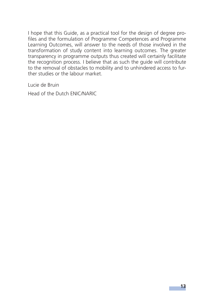I hope that this Guide, as a practical tool for the design of degree profiles and the formulation of Programme Competences and Programme Learning Outcomes, will answer to the needs of those involved in the transformation of study content into learning outcomes. The greater transparency in programme outputs thus created will certainly facilitate the recognition process. I believe that as such the guide will contribute to the removal of obstacles to mobility and to unhindered access to further studies or the labour market.

Lucie de Bruin

Head of the Dutch ENIC/NARIC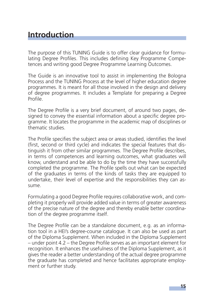### **Introduction**

The purpose of this TUNING Guide is to offer clear guidance for formulating Degree Profiles. This includes defining Key Programme Competences and writing good Degree Programme Learning Outcomes.

The Guide is an innovative tool to assist in implementing the Bologna Process and the TUNING Process at the level of higher education degree programmes. It is meant for all those involved in the design and delivery of degree programmes. It includes a Template for preparing a Degree Profile

The Degree Profile is a very brief document, of around two pages, designed to convey the essential information about a specific degree programme. It locates the programme in the academic map of disciplines or thematic studies.

The Profile specifies the subject area or areas studied, identifies the level (first, second or third cycle) and indicates the special features that distinguish it from other similar programmes. The Degree Profile describes, in terms of competences and learning outcomes, what graduates will know, understand and be able to do by the time they have successfully completed the programme. The Profile spells out what can be expected of the graduates in terms of the kinds of tasks they are equipped to undertake, their level of expertise and the responsibilities they can assume.

Formulating a good Degree Profile requires collaborative work, and completing it properly will provide added value in terms of greater awareness of the precise nature of the degree and thereby enable better coordination of the degree programme itself.

The Degree Profile can be a standalone document, e.g. as an information tool in a HEI's degree-course catalogue. It can also be used as part of the Diploma Supplement. When included in the Diploma Supplement  $-$  under point 4.2 – the Degree Profile serves as an important element for recognition. It enhances the usefulness of the Diploma Supplement, as it gives the reader a better understanding of the actual degree programme the graduate has completed and hence facilitates appropriate employment or further study.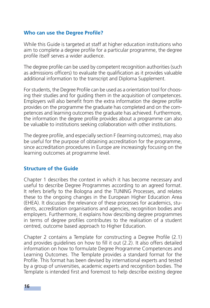#### **Who can use the Degree Profile?**

While this Guide is targeted at staff at higher education institutions who aim to complete a degree profile for a particular programme, the degree profile itself serves a wider audience.

The degree profile can be used by competent recognition authorities (such as admissions officers) to evaluate the qualification as it provides valuable additional information to the transcript and Diploma Supplement.

For students, the Degree Profile can be used as a orientation tool for choosing their studies and for guiding them in the acquisition of competences. Employers will also benefit from the extra information the degree profile provides on the programme the graduate has completed and on the competences and learning outcomes the graduate has achieved. Furthermore, the information the degree profile provides about a programme can also be valuable to institutions seeking collaboration with other institutions.

The degree profile, and especially section F (learning outcomes), may also be useful for the purpose of obtaining accreditation for the programme, since accreditation procedures in Europe are increasingly focusing on the learning outcomes at programme level.

#### **Structure of the Guide**

Chapter 1 describes the context in which it has become necessary and useful to describe Degree Programmes according to an agreed format. It refers briefly to the Bologna and the TUNING Processes, and relates these to the ongoing changes in the European Higher Education Area (EHEA). It discusses the relevance of these processes for academics, students, accreditation organisations and agencies, recognition bodies and employers. Furthermore, it explains how describing degree programmes in terms of degree profiles contributes to the realisation of a student centred, outcome based approach to Higher Education.

Chapter 2 contains a Template for constructing a Degree Profile (2.1) and provides guidelines on how to fill it out (2.2). It also offers detailed information on how to formulate Degree Programme Competences and Learning Outcomes. The Template provides a standard format for the Profile. This format has been devised by international experts and tested by a group of universities, academic experts and recognition bodies. The Template is intended first and foremost to help describe existing degree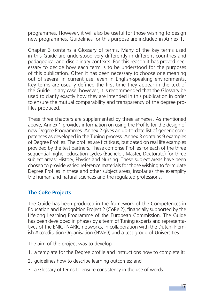programmes. However, it will also be useful for those wishing to design new programmes. Guidelines for this purpose are included in Annex 1.

Chapter 3 contains a Glossary of terms. Many of the key terms used in this Guide are understood very differently in different countries and pedagogical and disciplinary contexts. For this reason it has proved necessary to decide how each term is to be understood for the purposes of this publication. Often it has been necessary to choose one meaning out of several in current use, even in English-speaking environments. Key terms are usually defined the first time they appear in the text of the Guide. In any case, however, it is recommended that the Glossary be used to clarify exactly how they are intended in this publication in order to ensure the mutual comparability and transparency of the degree profiles produced.

These three chapters are supplemented by three annexes. As mentioned above, Annex 1 provides information on using the Profile for the design of new Degree Programmes. Annex 2 gives an up-to-date list of generic competences as developed in the Tuning process. Annex 3 contains 9 examples of Degree Profiles. The profiles are fictitious, but based on real life examples provided by the test partners. These comprise Profiles for each of the three sequential higher education cycles (Bachelor, Master, Doctorate) for three subject areas: History, Physics and Nursing. These subject areas have been chosen to provide varied reference materials for those wishing to formulate Degree Profiles in these and other subject areas, insofar as they exemplify the human and natural sciences and the regulated professions.

#### **The CoRe Projects**

The Guide has been produced in the framework of the Competences in Education and Recognition Project 2 (CoRe 2), financially supported by the Lifelong Learning Programme of the European Commission. The Guide has been developed in phases by a team of Tuning experts and representatives of the ENIC- NARIC networks, in collaboration with the Dutch- Flemish Accreditation Organisation (NVAO) and a test group of Universities.

The aim of the project was to develop:

- 1. a template for the Degree profile and instructions how to complete it;
- 2. guidelines how to describe learning outcomes; and
- 3. a Glossary of terms to ensure consistency in the use of words.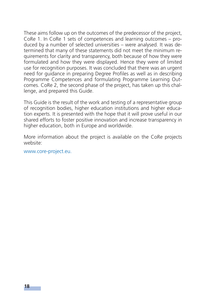These aims follow up on the outcomes of the predecessor of the project, CoRe 1. In CoRe 1 sets of competences and learning outcomes – produced by a number of selected universities – were analysed. It was determined that many of these statements did not meet the minimum requirements for clarity and transparency, both because of how they were formulated and how they were displayed. Hence they were of limited use for recognition purposes. It was concluded that there was an urgent need for guidance in preparing Degree Profiles as well as in describing Programme Competences and formulating Programme Learning Outcomes. CoRe 2, the second phase of the project, has taken up this challenge, and prepared this Guide.

This Guide is the result of the work and testing of a representative group of recognition bodies, higher education institutions and higher education experts. It is presented with the hope that it will prove useful in our shared efforts to foster positive innovation and increase transparency in higher education, both in Europe and worldwide.

More information about the project is available on the CoRe projects website:

www.core-project.eu.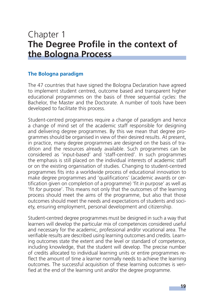## Chapter 1 **The Degree Profile in the context of the Bologna Process**

#### **The Bologna paradigm**

The 47 countries that have signed the Bologna Declaration have agreed to implement student centred, outcome based and transparent higher educational programmes on the basis of three sequential cycles: the Bachelor, the Master and the Doctorate. A number of tools have been developed to facilitate this process.

Student-centred programmes require a change of paradigm and hence a change of mind set of the academic staff responsible for designing and delivering degree programmes. By this we mean that degree programmes should be organised in view of their desired results. At present, in practice, many degree programmes are designed on the basis of tradition and the resources already available. Such programmes can be considered as 'input-based' and 'staff-centred'. In such programmes the emphasis is still placed on the individual interests of academic staff or on the existing organisation of studies. Changing to student-centred programmes fits into a worldwide process of educational innovation to make degree programmes and 'qualifications' (academic awards or certification given on completion of a programme) 'fit *in* purpose' as well as 'fit *for* purpose'. This means not only that the outcomes of the learning process should meet the aims of the programme, but also that those outcomes should meet the needs and expectations of students and society, ensuring employment, personal development and citizenship.

Student-centred degree programmes must be designed in such a way that learners will develop the particular mix of competences considered useful and necessary for the academic, professional and/or vocational area. The verifiable results are described using learning outcomes and credits. Learning outcomes state the extent and the level or standard of competence, including knowledge, that the student will develop. The precise number of credits allocated to individual learning units or entire programmes reflect the amount of time a learner normally needs to achieve the learning outcomes. The successful acquisition of these learning outcomes is verified at the end of the learning unit and/or the degree programme.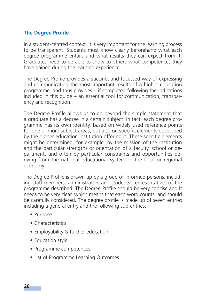#### **The Degree Profile**

In a student-centred context, it is very important for the learning process to be transparent. Students must know clearly beforehand what each degree programme entails and what results they can expect from it. Graduates need to be able to show to others what competences they have gained during the learning experience.

The Degree Profile provides a succinct and focussed way of expressing and communicating the most important results of a higher education programme, and thus provides – if completed following the indications included in this guide – an essential tool for communication, transparency and recognition.

The Degree Profile allows us to go beyond the simple statement that a graduate has a degree in a certain subject. In fact, each degree programme has its own identity, based on widely used reference points for one or more subject areas, but also on specific elements developed by the higher education institution offering it. These specific elements might be determined, for example, by the mission of the institution and the particular strengths or orientation of a faculty, school or department, and often by particular constraints and opportunities deriving from the national educational system or the local or regional economy.

The Degree Profile is drawn up by a group of informed persons, including staff members, administrators and students' representatives of the programme described. The Degree Profile should be very concise and it needs to be very clear, which means that each word counts, and should be carefully considered. The degree profile is made up of seven entries including a general entry and the following sub-entries:

- Purpose
- Characteristics
- Employability & further education
- Education style
- Programme competences
- List of Programme Learning Outcomes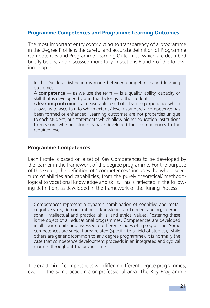#### **Programme Competences and Programme Learning Outcomes**

The most important entry contributing to transparency of a programme in the Degree Profile is the careful and accurate definition of Programme Competences and Programme Learning Outcomes, which are described briefly below, and discussed more fully in sections E and F of the following chapter.

In this Guide a distinction is made between competences and learning outcomes:

A **competence** — as we use the term — is a quality, ability, capacity or skill that is developed by and that belongs to the student.

A **learning outcome** is a measurable result of a learning experience which allows us to ascertain to which extent / level / standard a competence has been formed or enhanced. Learning outcomes are not properties unique to each student, but statements which allow higher education institutions to measure whether students have developed their competences to the required level.

#### **Programme Competences**

Each Profile is based on a set of Key Competences to be developed by the learner in the framework of the degree programme. For the purpose of this Guide, the definition of "competences" includes the whole spectrum of abilities and capabilities, from the purely theoretical/ methodological to vocational knowledge and skills. This is reflected in the following definition, as developed in the framework of the Tuning Process:

Competences represent a dynamic combination of cognitive and metacognitive skills, demonstration of knowledge and understanding, interpersonal, intellectual and practical skills, and ethical values. Fostering these is the object of all educational programmes. Competences are developed in all course units and assessed at different stages of a programme. Some competences are subject-area related (specific to a field of studies), while others are generic (common to any degree programme). It is normally the case that competence development proceeds in an integrated and cyclical manner throughout the programme.

The exact mix of competences will differ in different degree programmes, even in the same academic or professional area. The Key Programme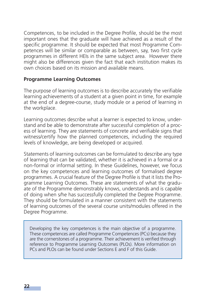Competences, to be included in the Degree Profile, should be the most important ones that the graduate will have achieved as a result of the specific programme. It should be expected that most Programme Competences will be similar or comparable as between, say, two first cycle programmes in different HEIs in the same subject area. However there might also be differences given the fact that each institution makes its own choices based on its mission and available means.

#### **Programme Learning Outcomes**

The purpose of learning outcomes is to describe accurately the verifiable learning achievements of a student at a given point in time, for example at the end of a degree-course, study module or a period of learning in the workplace.

Learning outcomes describe what a learner is expected to know, understand and be able to demonstrate after successful completion of a process of learning. They are statements of concrete and verifiable signs that witness/certify how the planned competences, including the required levels of knowledge, are being developed or acquired.

Statements of learning outcomes can be formulated to describe any type of learning that can be validated, whether it is achieved in a formal or a non-formal or informal setting. In these Guidelines, however, we focus on the key competences and learning outcomes of formalised degree programmes. A crucial feature of the Degree Profile is that it lists the Programme Learning Outcomes. These are statements of what the graduate of the Programme demonstrably knows, understands and is capable of doing when s/he has successfully completed the Degree Programme. They should be formulated in a manner consistent with the statements of learning outcomes of the several course units/modules offered in the Degree Programme.

Developing the key competences is the main objective of a programme. These competences are called Programme Competences (PCs) because they are the cornerstones of a programme. Their achievement is verified through reference to Programme Learning Outcomes (PLOs). More information on PCs and PLOs can be found under Sections E and F of this Guide.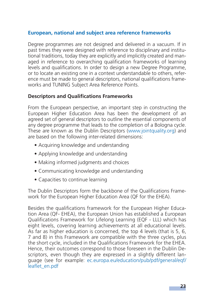#### **European, national and subject area reference frameworks**

Degree programmes are not designed and delivered in a vacuum. If in past times they were designed with reference to disciplinary and institutional traditions, today they are explicitly and implicitly created and managed in reference to overarching qualification frameworks of learning levels and qualifications. In order to design a new Degree Programme, or to locate an existing one in a context understandable to others, reference must be made to general descriptors, national qualifications frameworks and TUNING Subject Area Reference Points.

#### **Descriptors and Qualifications Frameworks**

From the European perspective, an important step in constructing the European Higher Education Area has been the development of an agreed set of general descriptors to outline the essential components of any degree programme that leads to the completion of a Bologna cycle. These are known as the Dublin Descriptors (www.jointquality.org) and are based on the following inter-related dimensions:

- Acquiring knowledge and understanding
- Applying knowledge and understanding
- Making informed judgments and choices
- Communicating knowledge and understanding
- Capacities to continue learning

The Dublin Descriptors form the backbone of the Qualifications Framework for the European Higher Education Area (QF for the EHEA).

Besides the qualifications framework for the European Higher Education Area (QF- EHEA), the European Union has established a European Qualifications Framework for Lifelong Learning (EQF - LLL) which has eight levels, covering learning achievements at all educational levels. As far as higher education is concerned, the top 4 levels (that is 5, 6, 7 and 8) in this Framework are compatible with the three cycles, plus the short cycle, included in the Qualifications Framework for the EHEA. Hence, their outcomes correspond to those foreseen in the Dublin Descriptors, even though they are expressed in a slightly different language (see for example: ec.europa.eu/education/pub/pdf/general/eqf/ leaflet\_en.pdf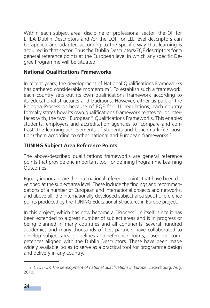Within each subject area, discipline or professional sector, the QF for EHEA Dublin Descriptors and /or the EQF for LLL level descriptors can be applied and adapted according to the specific way that learning is acquired in that sector. Thus the Dublin Descriptors/EQF descriptors form general reference points at the European level in which any specific Degree Programme will be situated.

#### **National Qualifications Frameworks**

In recent years, the development of National Qualifications Frameworks has gathered considerable momentum<sup>2</sup>. To establish such a framework, each country sets out its own qualifications framework according to its educational structures and traditions. However, either as part of the Bologna Process or because of EQF for LLL regulations, each country formally states how its own qualifications framework relates to, or interfaces with, the two "European" Qualifications Frameworks. This enables students, employers and accreditation agencies to 'compare and contrast' the learning achievements of students and benchmark (i.e. position) them according to other national and European frameworks.<sup>1</sup>

#### **TUNING Subject Area Reference Points**

The above-described qualifications frameworks are general reference points that provide one important tool for defining Programme Learning **Outcomes** 

Equally important are the international reference points that have been developed at the subject area level. These include the findings and recommendations of a number of European and international projects and networks, and above all, the internationally developed subject area specific reference points produced by the TUNING Educational Structures in Europe project.

In this project, which has now become a "Process" in itself, since it has been extended to a great number of subject areas and is in progress or being planned in many countries and all continents, several hundred academics and many thousands of test partners have collaborated to develop subject area guidelines and reference points, based on competences aligned with the Dublin Descriptors. These have been made widely available, so as to serve as a practical tool for programme design and delivery in any country.

<sup>2</sup> CEDEFOP, The development of national qualifications in Europe. Luxembourg, Aug. 2010.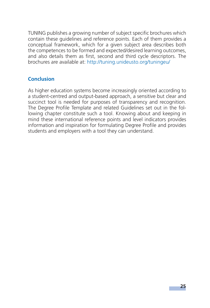TUNING publishes a growing number of subject specific brochures which contain these guidelines and reference points. Each of them provides a conceptual framework, which for a given subject area describes both the competences to be formed and expected/desired learning outcomes, and also details them as first, second and third cycle descriptors. The brochures are available at: http://tuning.unideusto.org/tuningeu/

#### **Conclusion**

As higher education systems become increasingly oriented according to a student-centred and output-based approach, a sensitive but clear and succinct tool is needed for purposes of transparency and recognition. The Degree Profile Template and related Guidelines set out in the following chapter constitute such a tool. Knowing about and keeping in mind these international reference points and level indicators provides information and inspiration for formulating Degree Profile and provides students and employers with a tool they can understand.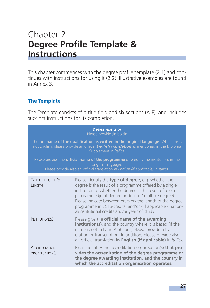# Chapter 2 **Degree Profile Template & Instructions**

This chapter commences with the degree profile template (2.1) and continues with instructions for using it  $(2.2)$ . Illustrative examples are found in Annex 3.

#### **The Template**

The Template consists of a title field and six sections (A-F), and includes succinct instructions for its completion.

|                                         | <b>DEGREE PROFILE OF</b><br>Please provide (in bold):<br>The full name of the qualification as written in the original language. When this is<br>not English, please provide an official <i>English translation</i> as mentioned in the Diploma<br>Supplement in <i>italics</i> .<br>Please provide the <b>official name of the programme</b> offered by the institution, in the<br>original language.<br>Please provide also an official translation in English (if applicable) in italics. |
|-----------------------------------------|----------------------------------------------------------------------------------------------------------------------------------------------------------------------------------------------------------------------------------------------------------------------------------------------------------------------------------------------------------------------------------------------------------------------------------------------------------------------------------------------|
| TYPE OF DEGREE &<br>LENGTH              | Please identify the <b>type of degree</b> , e.g. whether the<br>degree is the result of a programme offered by a single<br>institution or whether the degree is the result of a joint<br>programme (joint degree or double / multiple degree).<br>Please indicate between brackets the length of the degree<br>programme in ECTS-credits, and/or - if applicable - nation-<br>al/institutional credits and/or years of study.                                                                |
| INSTITUTION(S)                          | Please give the <b>official name of the awarding</b><br>institution(s), and the country where it is based (If the<br>name is not in Latin Alphabet, please provide a translit-<br>eration or transcription. In addition, please provide also<br>an official translation in English (if applicable) in <i>italics</i> ).                                                                                                                                                                      |
| <b>ACCREDITATION</b><br>ORGANISATION(S) | Please identify the accreditation organisation(s) <b>that pro-</b><br>vides the accreditation of the degree programme or<br>the degree awarding institution, and the country in<br>which the accreditation organisation operates.                                                                                                                                                                                                                                                            |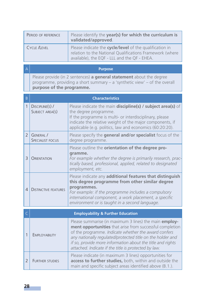| PERIOD OF REFERENCE | Please identify the year(s) for which the curriculum is<br>validated/approved.                                                                                      |
|---------------------|---------------------------------------------------------------------------------------------------------------------------------------------------------------------|
| CYCLE /LEVEL        | Please indicate the cycle/level of the qualification in<br>relation to the National Qualifications Framework (where<br>available), the EQF - LLL and the QF - EHEA. |

| $\Delta$     | <b>Purpose</b>                                                                                                                                                                             |
|--------------|--------------------------------------------------------------------------------------------------------------------------------------------------------------------------------------------|
|              | Please provide (in 2 sentences) <b>a general statement</b> about the degree<br>programme, providing a short summary $-$ a 'synthetic view' $-$ of the overall<br>purpose of the programme. |
|              |                                                                                                                                                                                            |
| <sub>B</sub> | <b>Characteristics</b>                                                                                                                                                                     |
|              |                                                                                                                                                                                            |

|               | DISCIPLINE(S) /<br>SUBJECT AREA(S) | Please indicate the main discipline(s) / subject area(s) of<br>the degree programme.<br>If the programme is multi- or interdisciplinary, please<br>indicate the relative weight of the major components, if<br>applicable (e.g. politics, law and economics (60:20:20).                      |
|---------------|------------------------------------|----------------------------------------------------------------------------------------------------------------------------------------------------------------------------------------------------------------------------------------------------------------------------------------------|
| $\mathcal{P}$ | GENERAL /<br>SPECIALIST FOCUS      | Please specify the general and/or specialist focus of the<br>degree programme.                                                                                                                                                                                                               |
| $\mathbf{R}$  | Orientation                        | Please outline the orientation of the degree pro-<br>gramme.<br>For example whether the degree is primarily research, prac-<br>tically based, professional, applied, related to designated<br>employment, etc.                                                                               |
| 4             | <b>DISTINCTIVE FEATURES</b>        | Please indicate any additional features that distinguish<br>this degree programme from other similar degree<br>programmes.<br>For example: if the programme includes a compulsory<br>international component, a work placement, a specific<br>environment or is taught in a second language. |

|                        | <b>Employability &amp; Further Education</b>                                                                                                                                                                                                                                                                                                                   |
|------------------------|----------------------------------------------------------------------------------------------------------------------------------------------------------------------------------------------------------------------------------------------------------------------------------------------------------------------------------------------------------------|
| <b>EMPLOYABILITY</b>   | Please summarise (in maximum 3 lines) the main employ-<br>ment opportunities that arise from successful completion<br>of the programme. Indicate whether the award confers<br>any nationally regulated/protected title on the holder and<br>if so, provide more information about the title and rights<br>attached. Indicate if the title is protected by law. |
| <b>FURTHER STUDIES</b> | Please indicate (in maximum 3 lines) opportunities for<br>access to further studies, both, within and outside the<br>main and specific subject areas identified above (B.1.).                                                                                                                                                                                  |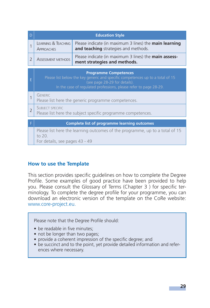| D              |                                                                                                                                                                                                                      | <b>Education Style</b>                                                                                |
|----------------|----------------------------------------------------------------------------------------------------------------------------------------------------------------------------------------------------------------------|-------------------------------------------------------------------------------------------------------|
|                | <b>LEARNING &amp; TEACHING</b><br><b>APPROACHES</b>                                                                                                                                                                  | Please indicate (in maximum 3 lines) the <b>main learning</b><br>and teaching strategies and methods. |
| $\overline{2}$ | <b>ASSESSMENT METHODS</b>                                                                                                                                                                                            | Please indicate (in maximum 3 lines) the <b>main assess-</b><br>ment strategies and methods.          |
| E              | <b>Programme Competences</b><br>Please list below the key generic and specific competences up to a total of 15<br>(see page 28-29 for details).<br>In the case of regulated professions, please refer to page 28-29. |                                                                                                       |
| 1              | <b>GENERIC</b>                                                                                                                                                                                                       | Please list here the generic programme competences.                                                   |
| $\overline{2}$ | <b>SUBJECT SPECIFIC</b>                                                                                                                                                                                              | Please list here the subject specific programme competences.                                          |
|                |                                                                                                                                                                                                                      | <b>Complete list of programme learning outcomes</b>                                                   |
|                | to 20.<br>For details, see pages 43 - 49                                                                                                                                                                             | Please list here the learning outcomes of the programme, up to a total of 15                          |

#### **How to use the Template**

This section provides specific quidelines on how to complete the Degree Profile. Some examples of good practice have been provided to help you. Please consult the Glossary of Terms (Chapter 3) for specific terminology. To complete the degree profile for your programme, you can download an electronic version of the template on the CoRe website: www.core-project.eu.

Please note that the Degree Profile should:

- be readable in five minutes:
- not be longer than two pages;
- provide a coherent impression of the specific degree; and
- be succinct and to the point, yet provide detailed information and references where necessary.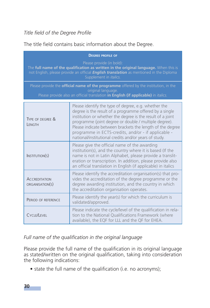#### **Title field of the Degree Profile**

The title field contains basic information about the Degree.

| <b>DEGREE PROFILE OF</b>                                                                                                                                                                                                                              |                                                                                                                                                                                                                                                                                                                                                                                                                     |  |
|-------------------------------------------------------------------------------------------------------------------------------------------------------------------------------------------------------------------------------------------------------|---------------------------------------------------------------------------------------------------------------------------------------------------------------------------------------------------------------------------------------------------------------------------------------------------------------------------------------------------------------------------------------------------------------------|--|
| Please provide (in bold):<br>The full name of the qualification as written in the original language. When this is<br>not English, please provide an official <i>English translation</i> as mentioned in the Diploma<br>Supplement in <i>italics</i> . |                                                                                                                                                                                                                                                                                                                                                                                                                     |  |
|                                                                                                                                                                                                                                                       | Please provide the <b>official name of the programme</b> offered by the institution, in the<br>original language.<br>Please provide also an official translation in English (if applicable) in <i>italics</i> .                                                                                                                                                                                                     |  |
| TYPE OF DEGREE &<br>LENGTH                                                                                                                                                                                                                            | Please identify the type of degree, e.g. whether the<br>degree is the result of a programme offered by a single<br>institution or whether the degree is the result of a joint<br>programme (joint degree or double / multiple degree).<br>Please indicate between brackets the length of the degree<br>programme in ECTS-credits, and/or - if applicable -<br>national/institutional credits and/or years of study. |  |
| INSTITUTION(S)                                                                                                                                                                                                                                        | Please give the official name of the awarding<br>institution(s), and the country where it is based (If the<br>name is not in Latin Alphabet, please provide a translit-<br>eration or transcription. In addition, please provide also<br>an official translation in English (if applicable) in italics                                                                                                              |  |
| <b>ACCREDITATION</b><br>ORGANISATION(S)                                                                                                                                                                                                               | Please identify the accreditation organisation(s) that pro-<br>vides the accreditation of the degree programme or the<br>degree awarding institution, and the country in which<br>the accreditation organisation operates.                                                                                                                                                                                          |  |
| PERIOD OF REFERENCE                                                                                                                                                                                                                                   | Please identify the year(s) for which the curriculum is<br>validated/approved.                                                                                                                                                                                                                                                                                                                                      |  |
| CYCLE/LEVEL                                                                                                                                                                                                                                           | Please indicate the cycle/level of the qualification in rela-<br>tion to the National Qualifications Framework (where<br>available), the EQF for LLL and the QF for EHEA.                                                                                                                                                                                                                                           |  |

#### Full name of the qualification in the original language

Please provide the full name of the qualification in its original language as stated/written on the original qualification, taking into consideration the following indications:

• state the full name of the qualification (i.e. no acronyms);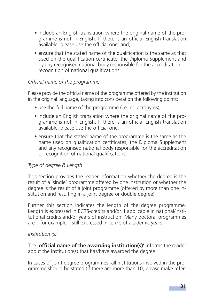- include an English translation where the original name of the programme is not in English. If there is an official English translation available, please use the official one; and,
- ensure that the stated name of the qualification is the same as that used on the qualification certificate, the Diploma Supplement and by any recognised national body responsible for the accreditation or recognition of national qualifications.

#### *Offi cial name of the programme*

Please provide the official name of the programme offered by the institution in the original language, taking into consideration the following points:

- use the full name of the programme (i.e. no acronyms);
- include an English translation where the original name of the programme is not in English. If there is an official English translation available, please use the official one:
- ensure that the stated name of the programme is the same as the name used on qualification certificates, the Diploma Supplement and any recognised national body responsible for the accreditation or recognition of national qualifications.

#### *Type of degree & Length*

This section provides the reader information whether the degree is the result of a 'single' programme offered by one institution or whether the degree is the result of a joint programme (offered by more than one institution and resulting in a joint degree or double degree).

Further this section indicates the length of the degree programme. Length is expressed in ECTS-credits and/or if applicable in national/institutional credits and/or years of instruction. Many doctoral programmes are – for example – still expressed in terms of academic years.

#### *Institution (s)*

The **'official name of the awarding institution(s)'** informs the reader about the institution(s) that has/have awarded the degree.

In cases of joint degree programmes, all institutions involved in the programme should be stated (if there are more than 10, please make refer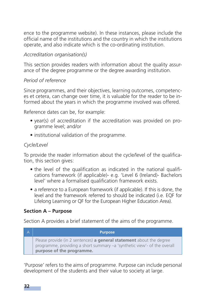ence to the programme website). In these instances, please include the official name of the institutions and the country in which the institutions operate, and also indicate which is the co-ordinating institution.

#### *Accreditation organisation(s)*

This section provides readers with information about the quality assurance of the degree programme or the degree awarding institution.

#### *Period of reference*

Since programmes, and their objectives, learning outcomes, competences et cetera, can change over time, it is valuable for the reader to be informed about the years in which the programme involved was offered.

Reference dates can be, for example:

- year(s) of accreditation if the accreditation was provided on programme level; and/or
- institutional validation of the programme.

#### *Cycle/Level*

To provide the reader information about the cycle/level of the qualification, this section gives:

- the level of the qualification as indicated in the national qualifications framework (if applicable)- e.g. 'Level 6 (Ireland)- Bachelors level' where a formalised qualification framework exists.
- a reference to a European framework (if applicable). If this is done, the level and the framework referred to should be indicated (i.e. EQF for Lifelong Learning or QF for the European Higher Education Area).

#### **Section A – Purpose**

Section A provides a brief statement of the aims of the programme.



'Purpose' refers to the aims of programme. Purpose can include personal development of the students and their value to society at large.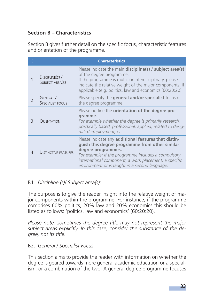#### **Section B – Characteristics**

Section B gives further detail on the specific focus, characteristic features and orientation of the programme.

| B |                                      | <b>Characteristics</b>                                                                                                                                                                                                                                                                         |
|---|--------------------------------------|------------------------------------------------------------------------------------------------------------------------------------------------------------------------------------------------------------------------------------------------------------------------------------------------|
|   | $DiscIPLINE(s)$ /<br>SUBJECT AREA(S) | Please indicate the main discipline(s) / subject area(s)<br>of the degree programme.<br>If the programme is multi- or interdisciplinary, please<br>indicate the relative weight of the major components, if<br>applicable (e.g. politics, law and economics (60:20:20).                        |
|   | GENERAL /<br><b>SPECIALIST FOCUS</b> | Please specify the general and/or specialist focus of<br>the degree programme.                                                                                                                                                                                                                 |
| 3 | ORIENTATION                          | Please outline the <b>orientation of the degree pro-</b><br>gramme.<br>For example whether the degree is primarily research,<br>practically based, professional, applied, related to desig-<br>nated employment, etc.                                                                          |
| 4 | <b>DISTINCTIVE FEATURES</b>          | Please indicate any additional features that distin-<br>guish this degree programme from other similar<br>degree programmes.<br>For example: if the programme includes a compulsory<br>international component, a work placement, a specific<br>environment or is taught in a second language. |

#### B1*. Discipline (s)/ Subject area(s):*

The purpose is to give the reader insight into the relative weight of major components within the programme. For instance, if the programme comprises 60% politics, 20% law and 20% economics this should be listed as follows: 'politics, law and economics' (60:20:20).

*Please note: sometimes the degree title may not represent the major subject areas explicitly. In this case, consider the substance of the degree, not its title.*

#### B2. *General / Specialist Focus*

This section aims to provide the reader with information on whether the degree is geared towards more general academic education or a specialism, or a combination of the two. A general degree programme focuses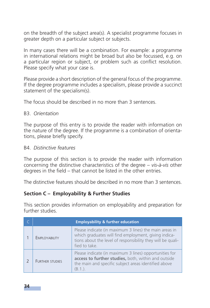on the breadth of the subject area(s). A specialist programme focuses in greater depth on a particular subject or subjects.

In many cases there will be a combination. For example: a programme in international relations might be broad but also be focussed, e.g. on a particular region or subject, or problem such as conflict resolution. Please specify what your case is.

Please provide a short description of the general focus of the programme. If the degree programme includes a specialism, please provide a succinct statement of the specialism(s).

The focus should be described in no more than 3 sentences.

#### B3. *Orientation*

The purpose of this entry is to provide the reader with information on the nature of the degree. If the programme is a combination of orientations, please briefly specify.

#### B4. *Distinctive features*

The purpose of this section is to provide the reader with information concerning the distinctive characteristics of the degree – *vis-à-vis* other degrees in the field  $-$  that cannot be listed in the other entries.

The distinctive features should be described in no more than 3 sentences.

#### **Section C – Employability & Further Studies**

This section provides information on employability and preparation for further studies.

|                        | <b>Employability &amp; further education</b>                                                                                                                                                   |
|------------------------|------------------------------------------------------------------------------------------------------------------------------------------------------------------------------------------------|
| EMPLOYABILITY          | Please indicate (in maximum 3 lines) the main areas in<br>which graduates will find employment, giving indica-<br>tions about the level of responsibility they will be quali-<br>fied to take. |
| <b>FURTHER STUDIES</b> | Please indicate (in maximum 3 lines) opportunities for<br>access to further studies, both, within and outside<br>the main and specific subject areas identified above<br>(B.1.).               |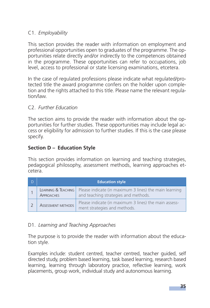#### C1. *Employability*

This section provides the reader with information on employment and professional opportunities open to graduates of the programme. The opportunities relate directly and/or indirectly to the competences obtained in the programme. These opportunities can refer to occupations, job level, access to professional or state licensing examinations, etcetera.

In the case of regulated professions please indicate what regulated/protected title the award programme confers on the holder upon completion and the rights attached to this title. Please name the relevant regulation/law.

#### C2. *Further Education*

The section aims to provide the reader with information about the opportunities for further studies. These opportunities may include legal access or eligibility for admission to further studies. If this is the case please specify.

#### **Section D – Education Style**

This section provides information on learning and teaching strategies, pedagogical philosophy, assessment methods, learning approaches etcetera.

| <b>Education style</b>                   |                                                                                                |
|------------------------------------------|------------------------------------------------------------------------------------------------|
| LEARNING & TEACHING<br><b>APPROACHES</b> | Please indicate (in maximum 3 lines) the main learning<br>and teaching strategies and methods. |
| <b>ASSESSMENT METHODS</b>                | Please indicate (in maximum 3 lines) the main assess-<br>ment strategies and methods.          |

#### D1. *Learning and Teaching Approaches*

The purpose is to provide the reader with information about the education style.

Examples include: student centred, teacher centred, teacher guided, self directed study, problem based learning, task based learning, research based learning, learning through laboratory practice, reflective learning, work placements, group work, individual study and autonomous learning.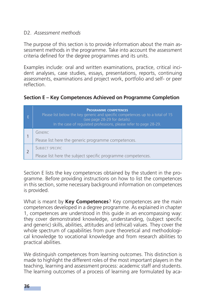#### D2. *Assessment methods*

The purpose of this section is to provide information about the main assessment methods in the programme. Take into account the assessment criteria defined for the degree programmes and its units.

Examples include: oral and written examinations, practice, critical incident analyses, case studies, essays, presentations, reports, continuing assessments, examinations and project work, portfolio and self- or peer reflection

#### **Section E – Key Competences Achieved on Programme Completion**

| E | <b>PROGRAMME COMPETENCES</b><br>Please list below the key generic and specific competences up to a total of 15<br>(see page 28-29 for details).<br>In the case of regulated professions, please refer to page 28-29. |
|---|----------------------------------------------------------------------------------------------------------------------------------------------------------------------------------------------------------------------|
|   | <b>GENERIC</b><br>Please list here the generic programme competences.                                                                                                                                                |
|   | <b>SUBJECT SPECIFIC</b><br>Please list here the subject specific programme competences.                                                                                                                              |

Section E lists the key competences obtained by the student in the programme. Before providing instructions on how to list the competences in this section, some necessary background information on competences is provided.

What is meant by **Key Competences**? Key competences are the main competences developed in a degree programme. As explained in chapter 1, competences are understood in this guide in an encompassing way: they cover demonstrated knowledge, understanding, (subject specific and generic) skills, abilities, attitudes and (ethical) values. They cover the whole spectrum of capabilities from pure theoretical and methodological knowledge to vocational knowledge and from research abilities to practical abilities.

We distinguish competences from learning outcomes. This distinction is made to highlight the different roles of the most important players in the teaching, learning and assessment process: academic staff and students. The learning outcomes of a process of learning are formulated by aca-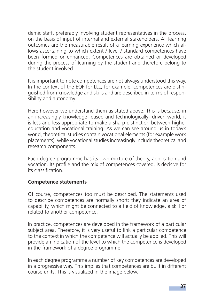demic staff, preferably involving student representatives in the process, on the basis of input of internal and external stakeholders. All learning outcomes are the measurable result of a learning experience which allows ascertaining to which extent / level / standard competences have been formed or enhanced. Competences are obtained or developed during the process of learning by the student and therefore belong to the student involved.

It is important to note competences are not always understood this way. In the context of the EQF for LLL, for example, competences are distinguished from knowledge and skills and are described in terms of responsibility and autonomy.

Here however we understand them as stated above. This is because, in an increasingly knowledge- based and technologically- driven world, it is less and less appropriate to make a sharp distinction between higher education and vocational training. As we can see around us in today's world, theoretical studies contain vocational elements (for example work placements), while vocational studies increasingly include theoretical and research components.

Each degree programme has its own mixture of theory, application and vocation. Its profile and the mix of competences covered, is decisive for its classification

#### **Competence statements**

Of course, competences too must be described. The statements used to describe competences are normally short: they indicate an area of capability, which might be connected to a field of knowledge, a skill or related to another competence.

In practice, competences are developed in the framework of a particular subject area. Therefore, it is very useful to link a particular competence to the context in which the competence will actually be applied. This will provide an indication of the level to which the competence is developed in the framework of a degree programme.

In each degree programme a number of key competences are developed in a progressive way. This implies that competences are built in different course units. This is visualized in the image below.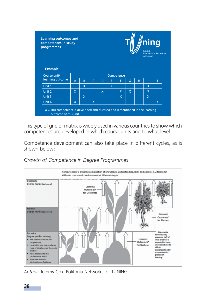| <b>Learning outcomes and</b><br>competences in study<br>programmes |                |              |              |              |          |            |   | Tuning<br>in Europe | ning<br><b>Educational Structures</b> |   |
|--------------------------------------------------------------------|----------------|--------------|--------------|--------------|----------|------------|---|---------------------|---------------------------------------|---|
| <b>Example</b><br>Course unit/                                     |                |              |              |              |          | Competence |   |                     |                                       |   |
| learning outcome                                                   | $\overline{A}$ | B            | $\mathsf{C}$ | $\mathsf{D}$ | E        | F          | G | н                   |                                       |   |
| Unit 1                                                             |                | $\mathsf{x}$ |              |              | $\times$ |            |   |                     | X                                     |   |
| Unit 2                                                             | $\mathsf{x}$   |              |              | X            |          | X          | X |                     | X                                     |   |
|                                                                    |                | X            |              |              |          | X          |   |                     | $\mathsf{x}$                          |   |
| Unit 3                                                             |                |              | X            |              |          |            |   |                     |                                       | X |

This type of grid or matrix is widely used in various countries to show which competences are developed in which course units and to what level.

Competence development can also take place in different cycles, as is shown below**:**

*Growth of Competence in Degree Programmes*



*Author:* Jeremy Cox, Polifonia Network, for TUNING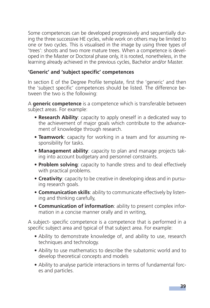Some competences can be developed progressively and sequentially during the three successive HE cycles, while work on others may be limited to one or two cycles. This is visualised in the image by using three types of 'trees': shoots and two more mature trees. When a competence is developed in the Master or Doctoral phase only, it is rooted, nonetheless, in the learning already achieved in the previous cycles, Bachelor and/or Master.

# 'Generic' and 'subject specific' competences

In section E of the Degree Profile template, first the 'generic' and then the 'subject specific' competences should be listed. The difference between the two is the following:

A **generic competence** is a competence which is transferable between subject areas. For example:

- **Research Ability**: capacity to apply oneself in a dedicated way to the achievement of major goals which contribute to the advancement of knowledge through research.
- **Teamwork**: capacity for working in a team and for assuming responsibility for tasks.
- **Management ability**: capacity to plan and manage projects taking into account budgetary and personnel constraints.
- **Problem solving**: capacity to handle stress and to deal effectively with practical problems.
- **Creativity**: capacity to be creative in developing ideas and in pursuing research goals.
- **Communication skills**: ability to communicate effectively by listening and thinking carefully,
- **Communication of information**: ability to present complex information in a concise manner orally and in writing,

A subject- specific competence is a competence that is performed in a specific subject area and typical of that subject area. For example:

- Ability to demonstrate knowledge of, and ability to use, research techniques and technology.
- Ability to use mathematics to describe the subatomic world and to develop theoretical concepts and models
- Ability to analyse particle interactions in terms of fundamental forces and particles.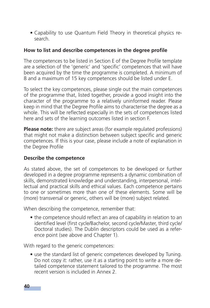**•** Capability to use Quantum Field Theory in theoretical physics research.

### **How to list and describe competences in the degree profi le**

The competences to be listed in Section E of the Degree Profile template are a selection of the 'generic' and 'specific' competences that will have been acquired by the time the programme is completed. A minimum of 8 and a maximum of 15 key competences should be listed under E.

To select the key competences, please single out the main competences of the programme that, listed together, provide a good insight into the character of the programme to a relatively uninformed reader. Please keep in mind that the Degree Profile aims to characterise the degree as a whole. This will be reflected especially in the sets of competences listed here and sets of the learning outcomes listed in section F.

**Please note:** there are subject areas (for example regulated professions) that might not make a distinction between subject specific and generic competences. If this is your case, please include a note of explanation in the Degree Profile

#### **Describe the competence**

As stated above, the set of competences to be developed or further developed in a degree programme represents a dynamic combination of skills, demonstrated knowledge and understanding, interpersonal, intellectual and practical skills and ethical values. Each competence pertains to one or sometimes more than one of these elements. Some will be (more) transversal or generic, others will be (more) subject related.

When describing the competence, remember that:

• the competence should reflect an area of capability in relation to an identified level (first cycle/Bachelor, second cycle/Master, third cycle/ Doctoral studies). The Dublin descriptors could be used as a reference point (see above and Chapter 1).

With regard to the generic competences:

**•** use the standard list of generic competences developed by Tuning. Do not copy it: rather, use it as a starting point to write a more detailed competence statement tailored to the programme. The most recent version is included in Annex 2.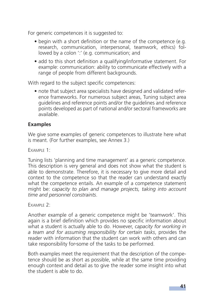For generic competences it is suggested to:

- begin with a short definition or the name of the competence (e.g. research, communication, interpersonal, teamwork, ethics) followed by a colon ':' (e.g. communication; and
- add to this short definition a qualifying/informative statement. For example: communication: ability to communicate effectively with a range of people from different backgrounds.

With regard to the subject specific competences:

• note that subject area specialists have designed and validated reference frameworks. For numerous subject areas, Tuning subject area guidelines and reference points and/or the guidelines and reference points developed as part of national and/or sectoral frameworks are available.

# **Examples**

We give some examples of generic competences to illustrate here what is meant. (For further examples, see Annex 3.)

EXAMPLE 1:

Tuning lists 'planning and time management' as a generic competence. This description is very general and does not show what the student is able to demonstrate. Therefore, it is necessary to give more detail and context to the competence so that the reader can understand exactly what the competence entails. An example of a competence statement might be: *capacity to plan and manage projects, taking into account time and personnel constraints*.

FXAMPLE 2.

Another example of a generic competence might be 'teamwork'. This again is a brief definition which provides no specific information about what a student is actually able to do. However, *capacity for working in a team and for assuming responsibility for certain tasks*, provides the reader with information that the student can work with others and can take responsibility for some of the tasks to be performed.

Both examples meet the requirement that the description of the competence should be as short as possible, while at the same time providing enough context and detail as to give the reader some insight into what the student is able to do.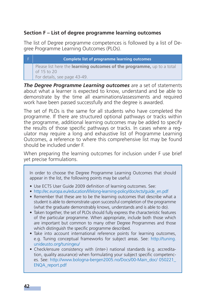# **Section F – List of degree programme learning outcomes**

The list of Degree programme competences is followed by a list of Degree Programme Learning Outcomes (PLOs).

F **Complete list of programme learning outcomes**  Please list here the **learning outcomes of the programme,** up to a total of 15 to 20 For details, see page 43-49.

*The Degree Programme Learning outcomes* are a set of statements about what a learner is expected to know, understand and be able to demonstrate by the time all examinations/assessments and required work have been passed successfully and the degree is awarded.

The set of PLOs is the same for all students who have completed the programme. If there are structured optional pathways or tracks within the programme, additional learning outcomes may be added to specify the results of those specific pathways or tracks. In cases where a regulator may require a long and exhaustive list of Programme Learning Outcomes, a reference to where this comprehensive list may be found should be included under F.

When preparing the learning outcomes for inclusion under F use brief yet precise formulations.

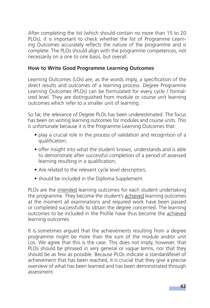After completing the list (which should contain no more than 15 to 20 PLOs), it is important to check whether the list of Programme Learning Outcomes accurately reflects the nature of the programme and is complete. The PLOs should align with the programme competences, not necessarily on a one to one basis, but overall.

# **How to Write Good Programme Learning Outcomes**

Learning Outcomes (LOs) are, as the words imply, a specification of the direct results and outcomes of a learning process. Degree Programme Learning Outcomes (PLOs) can be formulated for every cycle / formalized level. They are distinguished from module or course unit learning outcomes which refer to a smaller unit of learning.

So far, the relevance of Degree PLOs has been underestimated. The focus has been on writing learning outcomes for modules and course units. This is unfortunate because it is the Programme Learning Outcomes that:

- play a crucial role in the process of validation and recognition of a qualification;
- offer insight into what the student knows, understands and is able to demonstrate after successful completion of a period of assessed learning resulting in a qualification;
- Are related to the relevant cycle level descriptors;
- should be included in the Diploma Supplement.

PLOs are the intended learning outcomes for each student undertaking the programme. They become the student's achieved learning outcomes at the moment all examinations and required work have been passed or completed successfully to obtain the degree concerned. The learning outcomes to be included in the Profile have thus become the achieved learning outcomes.

It is sometimes argued that the achievements resulting from a degree programme might be more than the sum of the module and/or unit Los. We agree that this is the case. This does not imply, however, that PLOs should be phrased in very general or vague terms, nor that they should be as few as possible. Because PLOs indicate a standard/level of achievement that has been reached, it is crucial that they give a precise overview of what has been learned and has been demonstrated through assessment.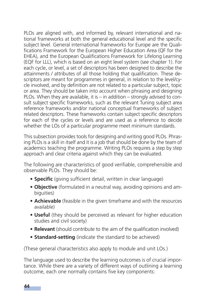PLOs are aligned with, and informed by, relevant international and national frameworks at both the general educational level and the specific subject level. General international frameworks for Europe are the Qualifications Framework for the European Higher Education Area (QF for the EHEA), and the European Qualifications Framework for Lifelong Learning (EQF for LLL), which is based on an eight level system (see chapter 1). For each cycle, or level, a set of descriptors has been designed to describe the attainments / attributes of all those holding that qualification. These descriptors are meant for programmes in general, in relation to the level/cycle involved, and by definition are not related to a particular subject, topic or area. They should be taken into account when phrasing and designing PLOs. When they are available, it is – in addition – strongly advised to consult subject specific frameworks, such as the relevant Tuning subject area reference frameworks and/or national conceptual frameworks of subject related descriptors. These frameworks contain subject specific descriptors for each of the cycles or levels and are used as a reference to decide whether the LOs of a particular programme meet minimum standards.

This subsection provides tools for designing and writing good PLOs. Phrasing PLOs is a skill in itself and it is a job that should be done by the team of academics teaching the programme. Writing PLOs requires a step by step approach and clear criteria against which they can be evaluated.

The following are characteristics of good verifiable, comprehensible and observable PLOs. They should be:

- **Specific** (giving sufficient detail, written in clear language)
- **Objective** (formulated in a neutral way, avoiding opinions and ambiguities)
- **Achievable** (feasible in the given timeframe and with the resources available)
- **Useful** (they should be perceived as relevant for higher education studies and civil society)
- **Relevant** (should contribute to the aim of the qualification involved)
- **Standard-setting** (indicate the standard to be achieved)

(These general characteristics also apply to module and unit LOs.)

The language used to describe the learning outcomes is of crucial importance. While there are a variety of different ways of outlining a learning outcome, each one normally contains five key components: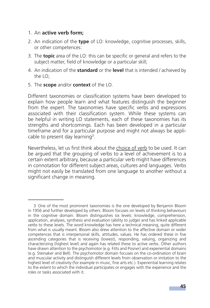#### 1. An **active verb form;**

- 2. An indication of the **type** of LO: knowledge, cognitive processes, skills, or other competences:
- 3. The **topic** area of the LO: this can be specific or general and refers to the subject matter, field of knowledge or a particular skill;
- 4. An indication of the **standard** or the **level** that is intended / achieved by the  $LO<sup>+</sup>$
- 5. The **scope** and/or **context** of the LO.

Different taxonomies or classification systems have been developed to explain how people learn and what features distinguish the beginner from the expert. The taxonomies have specific verbs and expressions associated with their classification system. While these systems can be helpful in writing LO statements, each of these taxonomies has its strengths and shortcomings. Each has been developed in a particular timeframe and for a particular purpose and might not always be applicable to present day learning<sup>3</sup>.

Nevertheless, let us first think about the choice of verb to be used. It can be argued that the grouping of verbs to a level of achievement is to a certain extent arbitrary, because a particular verb might have differences in connotation for different subject areas, cultures and languages. Verbs might not easily be translated from one language to another without a significant change in meaning.

<sup>3</sup> One of the most prominent taxonomies is the one developed by Benjamin Bloom in 1956 and further developed by others. Bloom focuses on levels of thinking behaviours in the cognitive domain. Bloom distinguishes six levels: knowledge, comprehension, application, analyses, synthesis and evaluation (ability to judge) and has linked applicable *verbs* to these levels. The word knowledge has here a technical meaning, quite different from what is usually meant. Bloom also drew attention to the affective domain or wider competences that is interpersonal skills, attitudes, values. He has ordered these in five ascending categories that is receiving (lowest), responding, valuing, organizing and characterizing (highest level) and again has related these to active verbs. Other authors have drawn attention to the psychomotor (e.g. Fitts and Posner) and experiential domains (e.g. Steinaker and Bell). The psychomotor domain focuses on the co-ordination of brain and muscular activity and distinguish different levels from observation or imitation to the highest level of creativity (for example in music, fine arts etc.). Experiential learning relates to the extent to which the individual participates or engages with the experience and the roles or tasks associated with it.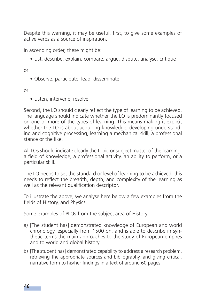Despite this warning, it may be useful, first, to give some examples of active verbs as a source of inspiration.

In ascending order, these might be:

• List, describe, explain, compare, argue, dispute, analyse, critique

or

• Observe, participate, lead, disseminate

or

• Listen, intervene, resolve

Second, the LO should clearly reflect the type of learning to be achieved. The language should indicate whether the LO is predominantly focused on one or more of the types of learning. This means making it explicit whether the LO is about acquiring knowledge, developing understanding and cognitive processing, learning a mechanical skill, a professional stance or the like.

All LOs should indicate clearly the topic or subject matter of the learning: a field of knowledge, a professional activity, an ability to perform, or a particular skill.

The LO needs to set the standard or level of learning to be achieved: this needs to reflect the breadth, depth, and complexity of the learning as well as the relevant qualification descriptor.

To illustrate the above, we analyse here below a few examples from the fields of History, and Physics.

Some examples of PLOs from the subject area of History:

- a) [The student has] demonstrated knowledge of European and world chronology, especially from 1500 on, and is able to describe in synthetic terms the main approaches to the study of European empires and to world and global history
- b) [The student has] demonstrated capability to address a research problem, retrieving the appropriate sources and bibliography, and giving critical, narrative form to his/her findings in a text of around 60 pages.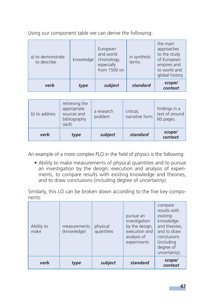Using our component table we can derive the following:

| a) to demonstrate<br>to describe | knowledge | European<br>and world<br>chronology,<br>especially<br>from 1500 on | in synthetic<br>terms | the main<br>approaches<br>to the study<br>of European<br>empires and<br>to world and<br>global history |
|----------------------------------|-----------|--------------------------------------------------------------------|-----------------------|--------------------------------------------------------------------------------------------------------|
| verb                             | type      | subject                                                            | standard              | scope/<br>context                                                                                      |

| b) to address | retrieving the<br>appropriate<br>sources and<br>bibliography<br>(skill) | a research<br>problem | critical,<br>narrative form | findings in a<br>text of around<br>60 pages. |  |
|---------------|-------------------------------------------------------------------------|-----------------------|-----------------------------|----------------------------------------------|--|
| verb          | type                                                                    | subject               | standard                    | scope/<br>context                            |  |

An example of a more complex PLO in the field of physics is the following:

• Ability to make measurements of physical quantities and to pursue an investigation by the design, execution and analysis of experiments, to compare results with existing knowledge and theories, and to draw conclusions (including degree of uncertainty).

Similarly, this LO can be broken down according to the five key components:

| Ability to<br>make | measurements<br>(knowledge) | physical<br>quantities | pursue an<br>investigation<br>by the design,<br>execution and<br>analysis of<br>experiments | compare<br>results with<br>existing<br>knowledge<br>and theories,<br>and to draw<br>conclusions<br>(including<br>degree of<br>uncertainty). |
|--------------------|-----------------------------|------------------------|---------------------------------------------------------------------------------------------|---------------------------------------------------------------------------------------------------------------------------------------------|
| verb               | type                        | subject                | standard                                                                                    | scope/<br>context                                                                                                                           |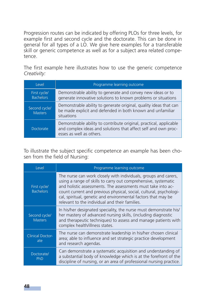Progression routes can be indicated by offering PLOs for three levels, for example first and second cycle and the doctorate. This can be done in general for all types of a LO. We give here examples for a transferable skill or generic competence as well as for a subject area related competence.

The first example here illustrates how to use the generic competence *Creativity:*

| l evel                           | Programme learning outcome                                                                                                                                       |
|----------------------------------|------------------------------------------------------------------------------------------------------------------------------------------------------------------|
| First cycle/<br><b>Bachelors</b> | Demonstrable ability to generate and convey new ideas or to<br>generate innovative solutions to known problems or situations                                     |
| Second cycle/<br><b>Masters</b>  | Demonstrable ability to generate original, quality ideas that can<br>be made explicit and defended in both known and unfamiliar<br>situations                    |
| Doctorate                        | Demonstrable ability to contribute original, practical, applicable<br>and complex ideas and solutions that affect self and own proc-<br>esses as well as others. |

To illustrate the subject specific competence an example has been chosen from the field of Nursing:

| Level                            | Programme learning outcome                                                                                                                                                                                                                                                                                                                                                                 |
|----------------------------------|--------------------------------------------------------------------------------------------------------------------------------------------------------------------------------------------------------------------------------------------------------------------------------------------------------------------------------------------------------------------------------------------|
| First cycle/<br><b>Bachelors</b> | The nurse can work closely with individuals, groups and carers,<br>using a range of skills to carry out comprehensive, systematic<br>and holistic assessments. The assessments must take into ac-<br>count current and previous physical, social, cultural, psychologi-<br>cal, spiritual, genetic and environmental factors that may be<br>relevant to the individual and their families. |
| Second cycle/<br><b>Masters</b>  | In his/her designated speciality, the nurse must demonstrate his/<br>her mastery of advanced nursing skills, (including diagnostic<br>and therapeutic techniques) to assess and manage patients with<br>complex health/illness states.                                                                                                                                                     |
| <b>Clinical Doctor-</b><br>ate   | The nurse can demonstrate leadership in his/her chosen clinical<br>area; able to influence and set strategic practice development<br>and research agendas.                                                                                                                                                                                                                                 |
| Doctorate/<br>PhD                | Can demonstrate a systematic acquisition and understanding of<br>a substantial body of knowledge which is at the forefront of the<br>discipline of nursing, or an area of professional nursing practice.                                                                                                                                                                                   |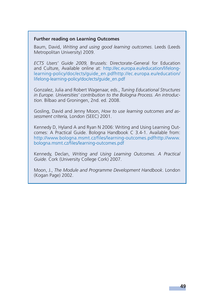#### **Further reading on Learning Outcomes**

Baum, David, *Writing and using good learning outcomes*. Leeds (Leeds Metropolitan University) 2009.

*ECTS Users' Guide 2009,* Brussels: Directorate-General for Education and Culture, Available online at: http://ec.europa.eu/education/lifelonglearning- policy/doc/ects/guide\_en.pdfhttp://ec.europa.eu/education/ lifelong-learning-policy/doc/ects/guide\_en.pdf

Gonzalez, Julia and Robert Wagenaar, eds., *Tuning Educational Structures in Europe. Universities' contribution to the Bologna Process. An introduction*. Bilbao and Groningen, 2nd. ed. 2008.

Gosling, David and Jenny Moon, *How to use learning outcomes and assessment criteria,* London (SEEC) 2001.

Kennedy D, Hyland A and Ryan N 2006: Writing and Using Learning Outcomes: A Practical Guide. Bologna Handbook C 3.4-1. Available from: http://www.bologna.msmt.cz/files/learning-outcomes.pdfhttp://www. bologna.msmt.cz/files/learning-outcomes.pdf

Kennedy, Declan, *Writing and Using Learning Outcomes. A Practical Guide.* Cork (University College Cork) 2007.

Moon, J., *The Module and Programme Development Handbook*. London (Kogan Page) 2002.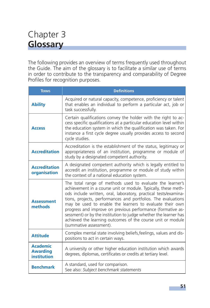# Chapter 3 **Glossary**

The following provides an overview of terms frequently used throughout the Guide. The aim of the glossary is to facilitate a similar use of terms in order to contribute to the transparency and comparability of Degree Profiles for recognition purposes.

| <b>TERMS</b>                                      | <b>Definitions</b>                                                                                                                                                                                                                                                                                                                                                                                                                                                                                                                                       |  |  |  |
|---------------------------------------------------|----------------------------------------------------------------------------------------------------------------------------------------------------------------------------------------------------------------------------------------------------------------------------------------------------------------------------------------------------------------------------------------------------------------------------------------------------------------------------------------------------------------------------------------------------------|--|--|--|
| <b>Ability</b>                                    | Acquired or natural capacity, competence, proficiency or talent<br>that enables an individual to perform a particular act, job or<br>task successfully.                                                                                                                                                                                                                                                                                                                                                                                                  |  |  |  |
| <b>Access</b>                                     | Certain qualifications convey the holder with the right to ac-<br>cess specific qualifications at a particular education level within<br>the education system in which the qualification was taken. For<br>instance a first cycle degree usually provides access to second<br>cycle studies.                                                                                                                                                                                                                                                             |  |  |  |
| <b>Accreditation</b>                              | Accreditation is the establishment of the status, legitimacy or<br>appropriateness of an institution, programme or module of<br>study by a designated competent authority.                                                                                                                                                                                                                                                                                                                                                                               |  |  |  |
| <b>Accreditation</b><br>organisation              | A designated competent authority which is legally entitled to<br>accredit an institution, programme or module of study within<br>the context of a national education system.                                                                                                                                                                                                                                                                                                                                                                             |  |  |  |
| <b>Assessment</b><br>methods                      | The total range of methods used to evaluate the learner's<br>achievement in a course unit or module. Typically, these meth-<br>ods include written, oral, laboratory, practical tests/examina-<br>tions, projects, performances and portfolios. The evaluations<br>may be used to enable the learners to evaluate their own<br>progress and improve on previous performance (formative as-<br>sessment) or by the institution to judge whether the learner has<br>achieved the learning outcomes of the course unit or module<br>(summative assessment). |  |  |  |
| <b>Attitude</b>                                   | Complex mental state involving beliefs, feelings, values and dis-<br>positions to act in certain ways.                                                                                                                                                                                                                                                                                                                                                                                                                                                   |  |  |  |
| <b>Academic</b><br><b>Awarding</b><br>institution | A university or other higher education institution which awards<br>degrees, diplomas, certificates or credits at tertiary level.                                                                                                                                                                                                                                                                                                                                                                                                                         |  |  |  |
| <b>Benchmark</b>                                  | A standard, used for comparison.<br>See also: Subject benchmark statements                                                                                                                                                                                                                                                                                                                                                                                                                                                                               |  |  |  |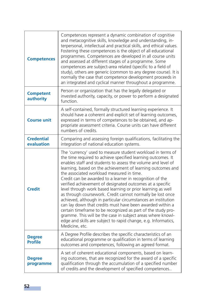| <b>Competences</b>              | Competences represent a dynamic combination of cognitive<br>and metacognitive skills, knowledge and understanding, in-<br>terpersonal, intellectual and practical skills, and ethical values.<br>Fostering these competences is the object of all educational<br>programmes. Competences are developed in all course units<br>and assessed at different stages of a programme. Some<br>competences are subject-area related (specific to a field of<br>study), others are generic (common to any degree course). It is<br>normally the case that competence development proceeds in<br>an integrated and cyclical manner throughout a programme.                                                                                                                                                                                                                                                               |
|---------------------------------|----------------------------------------------------------------------------------------------------------------------------------------------------------------------------------------------------------------------------------------------------------------------------------------------------------------------------------------------------------------------------------------------------------------------------------------------------------------------------------------------------------------------------------------------------------------------------------------------------------------------------------------------------------------------------------------------------------------------------------------------------------------------------------------------------------------------------------------------------------------------------------------------------------------|
| <b>Competent</b><br>authority   | Person or organization that has the legally delegated or<br>invested authority, capacity, or power to perform a designated<br>function                                                                                                                                                                                                                                                                                                                                                                                                                                                                                                                                                                                                                                                                                                                                                                         |
| <b>Course unit</b>              | A self-contained, formally structured learning experience. It<br>should have a coherent and explicit set of learning outcomes,<br>expressed in terms of competences to be obtained, and ap-<br>propriate assessment criteria. Course units can have different<br>numbers of credits.                                                                                                                                                                                                                                                                                                                                                                                                                                                                                                                                                                                                                           |
| <b>Credential</b><br>evaluation | Comparing and assessing foreign qualifications, facilitating the<br>integration of national education systems.                                                                                                                                                                                                                                                                                                                                                                                                                                                                                                                                                                                                                                                                                                                                                                                                 |
| <b>Credit</b>                   | The 'currency' used to measure student workload in terms of<br>the time required to achieve specified learning outcomes. It<br>enables staff and students to assess the volume and level of<br>learning, based on the achievement of learning outcomes and<br>the associated workload measured in time.<br>Credit can be awarded to a learner in recognition of the<br>verified achievement of designated outcomes at a specific<br>level through work based learning or prior learning as well<br>as through coursework. Credit cannot normally be lost once<br>achieved, although in particular circumstances an institution<br>can lay down that credits must have been awarded within a<br>certain timeframe to be recognized as part of the study pro-<br>gramme. This will be the case in subject areas where knowl-<br>edge and skills are subject to rapid change, e.g. Informatics,<br>Medicine, etc. |
| <b>Degree</b><br><b>Profile</b> | A Degree Profile describes the specific characteristics of an<br>educational programme or qualification in terms of learning<br>outcomes and competences, following an agreed format.                                                                                                                                                                                                                                                                                                                                                                                                                                                                                                                                                                                                                                                                                                                          |
| <b>Degree</b><br>programme      | A set of coherent educational components, based on learn-<br>ing outcomes, that are recognized for the award of a specific<br>qualification through the accumulation of a specified number<br>of credits and the development of specified competences                                                                                                                                                                                                                                                                                                                                                                                                                                                                                                                                                                                                                                                          |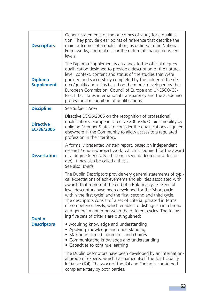| <b>Descriptors</b>                  | Generic statements of the outcomes of study for a qualifica-<br>tion. They provide clear points of reference that describe the<br>main outcomes of a qualification, as defined in the National<br>Frameworks, and make clear the nature of change between<br>levels.                                                                                                                                                                                                                                                                                                                                                                                                                                                                                                                                                                                                                                                                                                                                                                        |
|-------------------------------------|---------------------------------------------------------------------------------------------------------------------------------------------------------------------------------------------------------------------------------------------------------------------------------------------------------------------------------------------------------------------------------------------------------------------------------------------------------------------------------------------------------------------------------------------------------------------------------------------------------------------------------------------------------------------------------------------------------------------------------------------------------------------------------------------------------------------------------------------------------------------------------------------------------------------------------------------------------------------------------------------------------------------------------------------|
| <b>Diploma</b><br><b>Supplement</b> | The Diploma Supplement is an annex to the official degree/<br>qualification designed to provide a description of the nature,<br>level, context, content and status of the studies that were<br>pursued and successfully completed by the holder of the de-<br>gree/qualification. It is based on the model developed by the<br>European Commission, Council of Europe and UNESCO/CE-<br>PES. It facilitates international transparency and the academic/<br>professional recognition of qualifications.                                                                                                                                                                                                                                                                                                                                                                                                                                                                                                                                     |
| <b>Discipline</b>                   | See Subject Area                                                                                                                                                                                                                                                                                                                                                                                                                                                                                                                                                                                                                                                                                                                                                                                                                                                                                                                                                                                                                            |
| <b>Directive</b><br>EC/36/2005      | Directive EC/36/2005 on the recognition of professional<br>qualifications. European Directive 2005/36/EC aids mobility by<br>obliging Member States to consider the qualifications acquired<br>elsewhere in the Community to allow access to a regulated<br>profession in their territory.                                                                                                                                                                                                                                                                                                                                                                                                                                                                                                                                                                                                                                                                                                                                                  |
| <b>Dissertation</b>                 | A formally presented written report, based on independent<br>research/ enquiry/project work, which is required for the award<br>of a degree (generally a first or a second degree or a doctor-<br>ate). It may also be called a thesis.<br>See also: thesis                                                                                                                                                                                                                                                                                                                                                                                                                                                                                                                                                                                                                                                                                                                                                                                 |
| <b>Dublin</b><br><b>Descriptors</b> | The Dublin Descriptors provide very general statements of typi-<br>cal expectations of achievements and abilities associated with<br>awards that represent the end of a Bologna cycle. General<br>level descriptors have been developed for the 'short cycle<br>within the first cycle' and the first, second and third cycle.<br>The descriptors consist of a set of criteria, phrased in terms<br>of competence levels, which enables to distinguish in a broad<br>and general manner between the different cycles. The follow-<br>ing five sets of criteria are distinguished:<br>• Acquiring knowledge and understanding<br>• Applying knowledge and understanding<br>• Making informed judgments and choices<br>• Communicating knowledge and understanding<br>• Capacities to continue learning<br>The Dublin descriptors have been developed by an internation-<br>al group of experts, which has named itself the Joint Quality<br>Initiative (JQI). The work of the JQI and Tuning is considered<br>complementary by both parties. |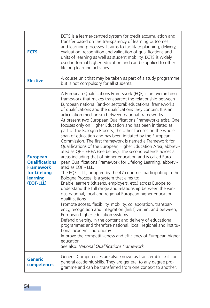| <b>ECTS</b>                                                                                           | ECTS is a learner-centred system for credit accumulation and<br>transfer based on the transparency of learning outcomes<br>and learning processes. It aims to facilitate planning, delivery,<br>evaluation, recognition and validation of qualifications and<br>units of learning as well as student mobility. ECTS is widely<br>used in formal higher education and can be applied to other<br>lifelong learning activities.                                                                                                                                                                                                                                                                                                                                                                                                                                                                                                                                                                                                                                                                                                                                                                                                                                                                                                                                                                                                                                                                                                                                                                                                                                                                                                           |
|-------------------------------------------------------------------------------------------------------|-----------------------------------------------------------------------------------------------------------------------------------------------------------------------------------------------------------------------------------------------------------------------------------------------------------------------------------------------------------------------------------------------------------------------------------------------------------------------------------------------------------------------------------------------------------------------------------------------------------------------------------------------------------------------------------------------------------------------------------------------------------------------------------------------------------------------------------------------------------------------------------------------------------------------------------------------------------------------------------------------------------------------------------------------------------------------------------------------------------------------------------------------------------------------------------------------------------------------------------------------------------------------------------------------------------------------------------------------------------------------------------------------------------------------------------------------------------------------------------------------------------------------------------------------------------------------------------------------------------------------------------------------------------------------------------------------------------------------------------------|
| <b>Elective</b>                                                                                       | A course unit that may be taken as part of a study programme<br>but is not compulsory for all students.                                                                                                                                                                                                                                                                                                                                                                                                                                                                                                                                                                                                                                                                                                                                                                                                                                                                                                                                                                                                                                                                                                                                                                                                                                                                                                                                                                                                                                                                                                                                                                                                                                 |
| <b>European</b><br><b>Qualifications</b><br><b>Framework</b><br>for Lifelong<br>learning<br>(EQF-LLL) | A European Qualifications Framework (EQF) is an overarching<br>framework that makes transparent the relationship between<br>European national (and/or sectoral) educational frameworks<br>of qualifications and the qualifications they contain. It is an<br>articulation mechanism between national frameworks.<br>At present two European Qualifications Frameworks exist. One<br>focuses only on Higher Education and has been initiated as<br>part of the Bologna Process, the other focuses on the whole<br>span of education and has been initiated by the European<br>Commission. The first framework is named a Framework for<br>Qualifications of the European Higher Education Area, abbrevi-<br>ated as QF - EHEA (see below). The second extends across all<br>areas including that of higher education and is called Euro-<br>pean Qualifications Framework for Lifelong Learning, abbrevi-<br>ated as EQF - LLL.<br>The EQF - LLL, adopted by the 47 countries participating in the<br>Bologna Process, is a system that aims to:<br>Enable learners (citizens, employers, etc.) across Europe to<br>understand the full range and relationship between the vari-<br>ous national, local and regional European higher education<br>qualifications<br>Promote access, flexibility, mobility, collaboration, transpar-<br>ency, recognition and integration (links) within, and between,<br>European higher education systems.<br>Defend diversity, in the content and delivery of educational<br>programmes and therefore national, local, regional and institu-<br>tional academic autonomy.<br>Improve the competitiveness and efficiency of European higher<br>education<br>See also: National Qualifications Framework |
| Generic<br>competences                                                                                | Generic Competences are also known as transferable skills or<br>general academic skills. They are general to any degree pro-<br>gramme and can be transferred from one context to another.                                                                                                                                                                                                                                                                                                                                                                                                                                                                                                                                                                                                                                                                                                                                                                                                                                                                                                                                                                                                                                                                                                                                                                                                                                                                                                                                                                                                                                                                                                                                              |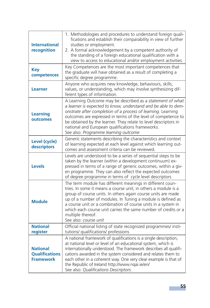| <b>International</b><br>recognition                          | 1. Methodologies and procedures to understand foreign quali-<br>fications and establish their comparability in view of further<br>studies or employment.<br>2. A formal acknowledgement by a competent authority of<br>the standing of a foreign educational qualification with a<br>view to access to educational and/or employment activities.                                                                                            |
|--------------------------------------------------------------|---------------------------------------------------------------------------------------------------------------------------------------------------------------------------------------------------------------------------------------------------------------------------------------------------------------------------------------------------------------------------------------------------------------------------------------------|
| <b>Key</b><br>competences                                    | Key Competences are the most important competences that<br>the graduate will have obtained as a result of completing a<br>specific degree programme.                                                                                                                                                                                                                                                                                        |
| <b>Learner</b>                                               | Anyone who acquires new knowledge, behaviours, skills,<br>values, or understanding, which may involve synthesizing dif-<br>ferent types of information.                                                                                                                                                                                                                                                                                     |
| <b>Learning</b><br>outcomes                                  | A Learning Outcome may be described as a statement of what<br>a learner is expected to know, understand and be able to dem-<br>onstrate after completion of a process of learning. Learning<br>outcomes are expressed in terms of the level of competence to<br>be obtained by the learner. They relate to level descriptors in<br>national and European qualifications frameworks.<br>See also: Programme learning outcome                 |
| Level (cycle)<br>descriptors                                 | Generic statements describing the characteristics and context<br>of learning expected at each level against which learning out-<br>comes and assessment criteria can be reviewed.                                                                                                                                                                                                                                                           |
| <b>Levels</b>                                                | Levels are understood to be a series of sequential steps to be<br>taken by the learner (within a development continuum) ex-<br>pressed in terms of a range of generic outcomes, within a giv-<br>en programme. They can also reflect the expected outcomes<br>of degree programme in terms of cycle level descriptors                                                                                                                       |
| <b>Module</b>                                                | The term module has different meanings in different coun-<br>tries. In some it means a course unit; in others a module is a<br>group of course units. In others again course units are made<br>up of a number of modules. In Tuning a module is defined as<br>a course unit or a combination of course units in a system in<br>which each course unit carries the same number of credits or a<br>multiple thereof.<br>See also: course unit |
| <b>National</b><br>register                                  | Official national listing of state recognized programmes/ insti-<br>tutions/ qualifications/ professions                                                                                                                                                                                                                                                                                                                                    |
| <b>National</b><br><b>Qualifications</b><br><b>Framework</b> | A national framework of qualifications is a single description,<br>at national level or level of an educational system, which is<br>internationally understood. The framework describes all qualifi-<br>cations awarded in the system considered and relates them to<br>each other in a coherent way. One very clear example is that of<br>the Republic of Ireland http://www.ngai.ie/en/<br>See also: Qualifications Descriptors.          |

Т.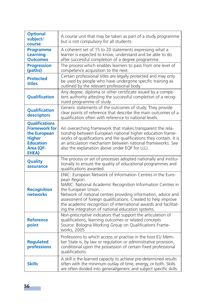| <b>Optional</b><br>subject/<br>course                                                                                    | A course unit that may be taken as part of a study programme<br>but is not compulsory for all students.                                                                                                                                                                                                                                                                                                                     |
|--------------------------------------------------------------------------------------------------------------------------|-----------------------------------------------------------------------------------------------------------------------------------------------------------------------------------------------------------------------------------------------------------------------------------------------------------------------------------------------------------------------------------------------------------------------------|
| <b>Programme</b><br>Learning<br><b>Outcomes</b>                                                                          | A coherent set of 15 to 20 statements expressing what a<br>learner is expected to know, understand and be able to do<br>after successful completion of a degree programme.                                                                                                                                                                                                                                                  |
| <b>Progression</b><br>(paths)                                                                                            | The process which enables learners to pass from one level of<br>competence acquisition to the next.                                                                                                                                                                                                                                                                                                                         |
| <b>Protected</b><br>titles                                                                                               | Certain professional titles are legally protected and may only<br>be used by people who have undergone specific training as<br>outlined by the relevant professional body.                                                                                                                                                                                                                                                  |
| <b>Qualification</b>                                                                                                     | Any degree, diploma or other certificate issued by a compe-<br>tent authority attesting the successful completion of a recog-<br>nized programme of study                                                                                                                                                                                                                                                                   |
| <b>Oualification</b><br>descriptors                                                                                      | Generic statements of the outcomes of study. They provide<br>clear points of reference that describe the main outcomes of a<br>qualification often with reference to national levels.                                                                                                                                                                                                                                       |
| <b>Qualifications</b><br><b>Framework for</b><br>the European<br><b>Higher</b><br><b>Education</b><br>Area (QF-<br>EHEA) | An overarching framework that makes transparent the rela-<br>tionship between European national higher education frame-<br>works of qualifications and the qualifications they contain. It is<br>an articulation mechanism between national frameworks. See<br>also the explanation above under EQF for LLL).                                                                                                               |
| Quality<br>assurance                                                                                                     | The process or set of processes adopted nationally and institu-<br>tionally to ensure the quality of educational programmes and<br>qualifications awarded.                                                                                                                                                                                                                                                                  |
| <b>Recognition</b><br>networks                                                                                           | ENIC: European Network of Information Centres in the Euro-<br>pean Region.<br>NARIC: National Academic Recognition Information Centres in<br>the European Union.<br>Network of national centres providing information, advice and<br>assessment of foreign qualifications. Created to help improve<br>the academic recognition of international awards and facilitat-<br>ing the integration of national education systems. |
| <b>Reference</b><br>point                                                                                                | Non-prescriptive indicators that support the articulation of<br>qualifications, learning outcomes or related concepts<br>Source: Bologna Working Group on Qualifications Frame-<br>works, 2005                                                                                                                                                                                                                              |
| <b>Regulated</b><br>professions                                                                                          | Professions to which access or practise in the host EU Mem-<br>ber State is, by law or regulation or administrative provision,<br>conditional upon the possession of certain fixed professional<br>qualifications.                                                                                                                                                                                                          |
| <b>Skills</b>                                                                                                            | A skill is the learned capacity to achieve pre-determined results<br>often with the minimum outlay of time, energy, or both. Skills<br>are often divided into general/generic and subject specific skills.                                                                                                                                                                                                                  |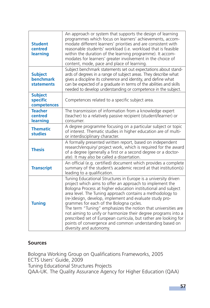| <b>Student</b><br>centred<br>learning            | An approach or system that supports the design of learning<br>programmes which focus on learners' achievements, accom-<br>modate different learners' priorities and are consistent with<br>reasonable students' workload (i.e. workload that is feasible<br>within the duration of the learning programme). It accom-<br>modates for learners' greater involvement in the choice of<br>content, mode, pace and place of learning.                                                                                                                                                                                                                          |
|--------------------------------------------------|------------------------------------------------------------------------------------------------------------------------------------------------------------------------------------------------------------------------------------------------------------------------------------------------------------------------------------------------------------------------------------------------------------------------------------------------------------------------------------------------------------------------------------------------------------------------------------------------------------------------------------------------------------|
| <b>Subject</b><br>benchmark<br><b>statements</b> | Subject benchmark statements set out expectations about stand-<br>ards of degrees in a range of subject areas. They describe what<br>gives a discipline its coherence and identity, and define what<br>can be expected of a graduate in terms of the abilities and skills<br>needed to develop understanding or competence in the subject.                                                                                                                                                                                                                                                                                                                 |
| <b>Subject</b><br>specific<br>competences        | Competences related to a specific subject area.                                                                                                                                                                                                                                                                                                                                                                                                                                                                                                                                                                                                            |
| <b>Teacher</b><br>centred<br>learning            | The transmission of information from a knowledge expert<br>(teacher) to a relatively passive recipient (student/learner) or<br>consumer.                                                                                                                                                                                                                                                                                                                                                                                                                                                                                                                   |
| <b>Thematic</b><br><b>studies</b>                | A degree programme focusing on a particular subject or topic<br>of interest. Thematic studies in higher education are of multi-<br>or interdisciplinary character.                                                                                                                                                                                                                                                                                                                                                                                                                                                                                         |
| <b>Thesis</b>                                    | A formally presented written report, based on independent<br>research/enquiry/ project work, which is required for the award<br>of a degree (generally a first or a second degree or a doctor-<br>ate). It may also be called a dissertation.                                                                                                                                                                                                                                                                                                                                                                                                              |
| <b>Transcript</b>                                | An official (e.g. certified) document which provides a complete<br>summary of the student's academic record at that institution(s)<br>leading to a qualification.                                                                                                                                                                                                                                                                                                                                                                                                                                                                                          |
| <b>Tuning</b>                                    | Tuning Educational Structures in Europe is a university driven<br>project which aims to offer an approach to implement the<br>Bologna Process at higher education institutional and subject<br>area level. The Tuning approach contains a methodology to<br>(re-)design, develop, implement and evaluate study pro-<br>grammes for each of the Bologna cycles.<br>The term "Tuning" emphasizes the notion that universities are<br>not aiming to unify or harmonize their degree programs into a<br>prescribed set of European curricula, but rather are looking for<br>points of convergence and common understanding based on<br>diversity and autonomy. |

# **Sources**

Bologna Working Group on Qualifications Frameworks, 2005 ECTS Users' Guide, 2009 Tuning Educational Structures Projects QAA-UK. The Quality Assurance Agency for Higher Education (QAA)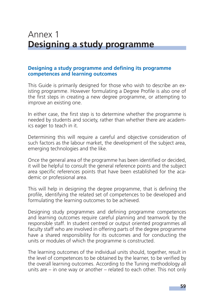# Annex 1 **Designing a study programme**

#### **Designing a study programme and defining its programme competences and learning outcomes**

This Guide is primarily designed for those who wish to describe an existing programme. However formulating a Degree Profile is also one of the first steps in creating a new degree programme, or attempting to improve an existing one.

In either case, the first step is to determine whether the programme is needed by students and society, rather than whether there are academics eager to teach in it.

Determining this will require a careful and objective consideration of such factors as the labour market, the development of the subject area, emerging technologies and the like.

Once the general area of the programme has been identified or decided, it will be helpful to consult the general reference points and the subject area specific references points that have been established for the academic or professional area.

This will help in designing the degree programme, that is defining the profile, identifying the related set of competences to be developed and formulating the learning outcomes to be achieved.

Designing study programmes and defining programme competences and learning outcomes require careful planning and teamwork by the responsible staff. In student centred or output oriented programmes all faculty staff who are involved in offering parts of the degree programme have a shared responsibility for its outcomes and for conducting the units or modules of which the programme is constructed.

The learning outcomes of the individual units should, together, result in the level of competences to be obtained by the learner, to be verified by the overall learning outcomes. According to the Tuning methodology all units are – in one way or another – related to each other. This not only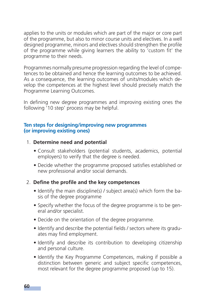applies to the units or modules which are part of the major or core part of the programme, but also to minor course units and electives. In a well designed programme, minors and electives should strengthen the profile of the programme while giving learners the ability to 'custom fit' the programme to their needs.

Programmes normally presume progression regarding the level of competences to be obtained and hence the learning outcomes to be achieved. As a consequence, the learning outcomes of units/modules which develop the competences at the highest level should precisely match the Programme Learning Outcomes.

In defining new degree programmes and improving existing ones the following '10 step' process may be helpful.

#### **Ten steps for designing/improving new programmes (or improving existing ones)**

- 1. **Determine need and potential**
	- Consult stakeholders (potential students, academics, potential employers) to verify that the degree is needed.
	- Decide whether the programme proposed satisfies established or new professional and/or social demands.

# 2. Define the profile and the key competences

- Identify the main discipline(s) / subject area(s) which form the basis of the degree programme
- Specify whether the focus of the degree programme is to be general and/or specialist.
- Decide on the orientation of the degree programme.
- Identify and describe the potential fields / sectors where its graduates may find employment.
- Identify and describe its contribution to developing citizenship and personal culture.
- Identify the Key Programme Competences, making if possible a distinction between generic and subject specific competences, most relevant for the degree programme proposed (up to 15).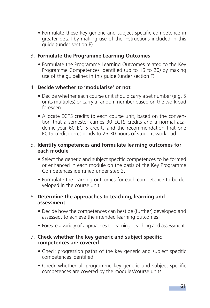• Formulate these key generic and subject specific competence in greater detail by making use of the instructions included in this guide (under section E).

# 3. **Formulate the Programme Learning Outcomes**

• Formulate the Programme Learning Outcomes related to the Key Programme Competences identified (up to 15 to 20) by making use of the guidelines in this guide (under section F).

# 4. **Decide whether to 'modularise' or not**

- Decide whether each course unit should carry a set number (e.g. 5) or its multiples) or carry a random number based on the workload foreseen.
- Allocate ECTS credits to each course unit, based on the convention that a semester carries 30 ECTS credits and a normal academic year 60 ECTS credits and the recommendation that one ECTS credit corresponds to 25-30 hours of student workload.

#### 5. **Identify competences and formulate learning outcomes for each module**

- Select the generic and subject specific competences to be formed or enhanced in each module on the basis of the Key Programme Competences identified under step 3.
- Formulate the learning outcomes for each competence to be developed in the course unit.

#### 6. **Determine the approaches to teaching, learning and assessment**

- Decide how the competences can best be (further) developed and assessed, to achieve the intended learning outcomes.
- Foresee a variety of approaches to learning, teaching and assessment.

#### 7. Check whether the key generic and subject specific **competences are covered**

- Check progression paths of the key generic and subject specific competences identified.
- Check whether all programme key generic and subject specific competences are covered by the modules/course units.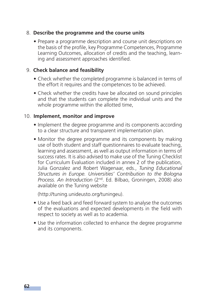#### 8. **Describe the programme and the course units**

• Prepare a programme description and course unit descriptions on the basis of the profile, key Programme Competences, Programme Learning Outcomes, allocation of credits and the teaching, learning and assessment approaches identified.

#### 9. **Check balance and feasibility**

- Check whether the completed programme is balanced in terms of the effort it requires and the competences to be achieved.
- Check whether the credits have be allocated on sound principles and that the students can complete the individual units and the whole programme within the allotted time,

#### 10. **Implement, monitor and improve**

- Implement the degree programme and its components according to a clear structure and transparent implementation plan.
- Monitor the degree programme and its components by making use of both student and staff questionnaires to evaluate teaching, learning and assessment, as well as output information in terms of success rates. It is also advised to make use of the Tuning Checklist for Curriculum Evaluation included in annex 2 of the publication, Julia Gonzalez and Robert Wagenaar, eds., *Tuning Educational Structures in Europe. Universities' Contribution to the Bologna Process. An Introduction* (2nd. Ed. Bilbao, Groningen, 2008) also available on the Tuning website

(http://tuning.unideusto.org/tuningeu).

- Use a feed back and feed forward system to analyse the outcomes of the evaluations and expected developments in the field with respect to society as well as to academia.
- Use the information collected to enhance the degree programme and its components.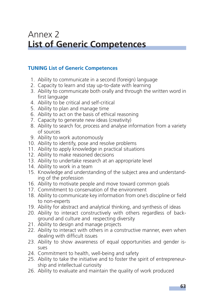# Annex 2 **List of Generic Competences**

# **TUNING List of Generic Competences**

- 1. Ability to communicate in a second (foreign) language
- 2. Capacity to learn and stay up-to-date with learning
- 3. Ability to communicate both orally and through the written word in first language
- 4. Ability to be critical and self-critical
- 5. Ability to plan and manage time
- 6. Ability to act on the basis of ethical reasoning
- 7. Capacity to generate new ideas (creativity)
- 8. Ability to search for, process and analyse information from a variety of sources
- 9. Ability to work autonomously
- 10. Ability to identify, pose and resolve problems
- 11. Ability to apply knowledge in practical situations
- 12. Ability to make reasoned decisions
- 13. Ability to undertake research at an appropriate level
- 14. Ability to work in a team
- 15. Knowledge and understanding of the subject area and understanding of the profession
- 16. Ability to motivate people and move toward common goals
- 17. Commitment to conservation of the environment
- 18. Ability to communicate key information from one's discipline or field to non-experts
- 19. Ability for abstract and analytical thinking, and synthesis of ideas
- 20. Ability to interact constructively with others regardless of background and culture and respecting diversity
- 21. Ability to design and manage projects
- 22. Ability to interact with others in a constructive manner, even when dealing with difficult issues
- 23. Ability to show awareness of equal opportunities and gender issues
- 24. Commitment to health, well-being and safety
- 25. Ability to take the initiative and to foster the spirit of entrepreneurship and intellectual curiosity
- 26. Ability to evaluate and maintain the quality of work produced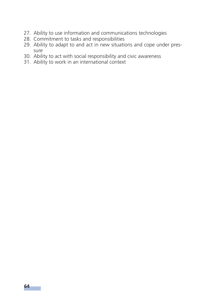- 27. Ability to use information and communications technologies
- 28. Commitment to tasks and responsibilities
- 29. Ability to adapt to and act in new situations and cope under pressure
- 30. Ability to act with social responsibility and civic awareness
- 31. Ability to work in an international context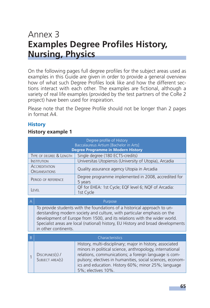# Annex 3 **Examples Degree Profiles History, Nursing, Physics**

On the following pages full degree profiles for the subject areas used as examples in this Guide are given in order to provide a general overview how of what such Degree Profiles look like and how the different sections interact with each other. The examples are fictional, although a variety of real life examples (provided by the test partners of the CoRe 2 project) have been used for inspiration.

Please note that the Degree Profile should not be longer than 2 pages in format A4.

# **History**

#### **History example 1**

| Degree profile of History<br>Baccalaureus Artium [Bachelor in Arts]<br><b>Degree Programme in Modern History</b> |                                                                   |  |
|------------------------------------------------------------------------------------------------------------------|-------------------------------------------------------------------|--|
| TYPE OF DEGREE & LENGTH                                                                                          | Single degree (180 ECTS-credits)                                  |  |
| <b>INSTITUTION</b>                                                                                               | Universitas Utopiensis (University of Utopia), Arcadia            |  |
| <b>ACCREDITATION</b><br><b>ORGANISATIONS</b>                                                                     | Quality assurance agency Utopia in Arcadia                        |  |
| PERIOD OF REFERENCE                                                                                              | Degree programme implemented in 2008, accredited for<br>5 years   |  |
| EVFL                                                                                                             | QF for EHEA: 1st Cycle; EQF level 6; NQF of Arcadia:<br>1st Cycle |  |

To provide students with the foundations of a historical approach to understanding modern society and culture, with particular emphasis on the development of Europe from 1500, and its relations with the wider world. Specialist areas are local (national) history, EU History and broad developments in other continents.

Purpose

#### Characteristics

| DISCIPLINES(S) /<br>SUBJECT AREA(S) | History, multi-disciplinary; major in history, associated<br>minors in political science, anthropology, international<br>relations, communications; a foreign language is com-<br>pulsory; electives in humanities, social sciences, econom-<br>ics and education. History 60%; minor 25%; language<br>5%; electives 10%. |
|-------------------------------------|---------------------------------------------------------------------------------------------------------------------------------------------------------------------------------------------------------------------------------------------------------------------------------------------------------------------------|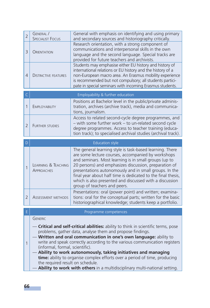| $\overline{2}$ | GENERAL /<br><b>SPECIALIST FOCUS</b>     | General with emphasis on identifying and using primary<br>and secondary sources and historiography critically.                                                                                                                                                                                                                                                                                                                                        |
|----------------|------------------------------------------|-------------------------------------------------------------------------------------------------------------------------------------------------------------------------------------------------------------------------------------------------------------------------------------------------------------------------------------------------------------------------------------------------------------------------------------------------------|
| 3              | <b>ORIENTATION</b>                       | Research orientation, with a strong component of<br>communications and interpersonal skills in the own<br>language and the second language. Special tracks are<br>provided for future teachers and archivists.                                                                                                                                                                                                                                        |
| 4              | <b>DISTINCTIVE FEATURES</b>              | Students may emphasise either EU history and history of<br>international relations or EU history and the history of a<br>non-European macro area. An Erasmus mobility experience<br>is recommended but not compulsory; all students partici-<br>pate in special seminars with incoming Erasmus students.                                                                                                                                              |
| C              |                                          | Employability & further education                                                                                                                                                                                                                                                                                                                                                                                                                     |
| 1              | <b>EMPLOYABILITY</b>                     | Positions at Bachelor level in the public/private adminis-<br>tration, archives (archive track), media and communica-<br>tions, journalism.                                                                                                                                                                                                                                                                                                           |
| $\overline{2}$ | <b>FURTHER STUDIES</b>                   | Access to related second-cycle degree programmes, and<br>- with some further work - to un-related second cycle<br>degree programmes. Access to teacher training (educa-<br>tion track); to specialised archival studies (archival track).                                                                                                                                                                                                             |
| D              |                                          | <b>Education style</b>                                                                                                                                                                                                                                                                                                                                                                                                                                |
|                |                                          |                                                                                                                                                                                                                                                                                                                                                                                                                                                       |
| $\mathbf{1}$   | LEARNING & TEACHING<br><b>APPROACHES</b> | The general learning style is task-based learning. There<br>are some lecture courses, accompanied by workshops<br>and seminars. Most learning is in small groups (up to<br>20 persons) and emphasizes discussion, preparation of<br>presentations autonomously and in small groups. In the<br>final year about half time is dedicated to the final thesis,<br>which is also presented and discussed with a discussion<br>group of teachers and peers. |
| $\overline{2}$ | ASSESSMENT METHODS                       | Presentations: oral (power point) and written; examina-<br>tions: oral for the conceptual parts; written for the basic<br>historiographical knowledge; students keep a portfolio.                                                                                                                                                                                                                                                                     |
| F              |                                          | Programme competences                                                                                                                                                                                                                                                                                                                                                                                                                                 |

— **Ability to work autonomously, taking initiatives and managing time:** ability to organise complex efforts over a period of time, producing the required result on schedule.

Ability to work with others in a multidisciplinary multi-national setting.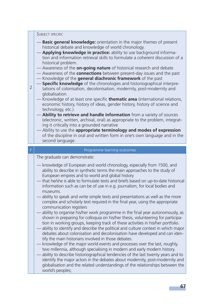#### SUBJECT SPECIFIC

- **Basic general knowledge:** orientation in the major themes of present historical debate and knowledge of world chronology.
- **Applying knowledge in practice:** ability to use background information and information retrieval skills to formulate a coherent discussion of a historical problem.
- Awareness of the **on-going nature** of historical research and debate
- Awareness of the **connections** between present-day issues and the past
- Knowledge of the **general diachronic framework** of the past
- $\overline{2}$  $-$  **Specific knowledge** of the chronologies and historiographical interpretations of colonisation, decolonisation, modernity, post-modernity and globalisation.
	- Knowledge of at least one specific **thematic area** (international relations, economic history, history of ideas, gender history, history of science and technology, etc.).
		- Ability to retrieve and handle information from a variety of sources (electronic, written, archival, oral) as appropriate to the problem, integrating it critically into a grounded narrative
		- Ability to use the **appropriate terminology and modes of expression** of the discipline in oral and written form in one's own language and in the second language.

#### F Programme learning outcomes

The graduate can demonstrate:

- knowledge of European and world chronology, especially from 1500, and ability to describe in synthetic terms the main approaches to the study of European empires and to world and global history
- that he/she is able to formulate texts and briefs based on up-to-date historical information such as can be of use in e.g. journalism, for local bodies and museums.
- ability to speak and write simple texts and presentations as well as the more complex and scholarly text required in the final year, using the appropriate communication registers
- ability to organise his/her work programme in the final year autonomously, as shown in preparing for colloquia on his/her thesis, volunteering for participation in working groups, keeping track of these activities in his/her portfolio.
- ability to identify and describe the political and culture context in which major debates about colonisation and decolonisation have developed and can identify the main historians involved in those debates.
- knowledge of the major world events and processes over the last, roughly, two millennia, although specialising in modern and early modern history.
- ability to describe historiographical tendencies of the last twenty years and to identify the major actors in the debates about modernity, post-modernity and globalisation and the related understandings of the relationships between the world's peoples;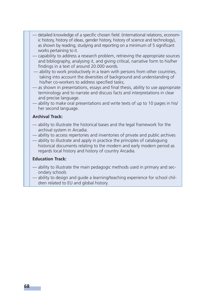- detailed knowledge of a specific chosen field: (international relations, economic history, history of ideas, gender history, history of science and technology), as shown by reading, studying and reporting on a minimum of 5 significant works pertaining to it.
- capability to address a research problem, retrieving the appropriate sources and bibliography, analysing it, and giving critical, narrative form to his/her findings in a text of around 20.000 words.
- ability to work productively in a team with persons from other countries, taking into account the diversities of background and understanding of his/her co-workers to address specified tasks;
- as shown in presentations, essays and final thesis, ability to use appropriate terminology and to narrate and discuss facts and interpretations in clear and precise language.
- ability to make oral presentations and write texts of up to 10 pages in his/ her second language.

#### **Archival Track:**

- ability to illustrate the historical bases and the legal framework for the archival system in Arcadia.
- ability to access repertories and inventories of private and public archives
- ability to illustrate and apply in practice the principles of cataloguing historical documents relating to the modern and early modern period as regards local history and history of country Arcadia.

#### **Education Track:**

- ability to illustrate the main pedagogic methods used in primary and secondary schools
- ability to design and guide a learning/teaching experience for school children related to EU and global history.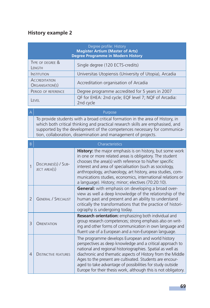# **History example 2**

| Degree profile: History<br><b>Magister Artium (Master of Arts)</b><br><b>Degree Programme in Modern History</b> |                                                                   |  |
|-----------------------------------------------------------------------------------------------------------------|-------------------------------------------------------------------|--|
| TYPE OF DEGREE &<br>LENGTH                                                                                      | Single degree (120 ECTS-credits)                                  |  |
| <b>INSTITUTION</b>                                                                                              | Universitas Utopiensis (University of Utopia), Arcadia            |  |
| <b>ACCREDITATION</b><br>ORGANISATION(S)                                                                         | Accreditation organisation of Arcadia                             |  |
| PERIOD OF REFERENCE                                                                                             | Degree programme accredited for 5 years in 2007                   |  |
| <b>FVFI</b>                                                                                                     | QF for EHEA: 2nd cycle; EQF level 7; NQF of Arcadia:<br>2nd cycle |  |

 $\mathsf{A}\big\vert$  . The purpose of the purpose of the purpose  $\mathsf{P}$ urpose of the purpose of the purpose of the purpose of the purpose of the purpose of the purpose of the purpose of the purpose of the purpose of the purpose

To provide students with a broad critical formation in the area of History, in which both critical thinking and practical research skills are emphasised, and supported by the development of the competences necessary for communication, collaboration, dissemination and management of projects.

| B. | Characteristics |
|----|-----------------|
|    |                 |

| 1              | DISCIPLINES(S) / SUB-<br>JECT AREA(S) | <b>History:</b> the major emphasis is on history, but some work<br>in one or more related areas is obligatory. The student<br>chooses the area(s) with reference to his/her specific<br>interest and area of specialisation (such as sociology,<br>anthropology, archaeology, art history, area studies, com-<br>munications studies, economics, international relations or<br>a language). History; minor; electives (70:20:10).     |
|----------------|---------------------------------------|---------------------------------------------------------------------------------------------------------------------------------------------------------------------------------------------------------------------------------------------------------------------------------------------------------------------------------------------------------------------------------------------------------------------------------------|
| $\overline{2}$ | <b>GENERAL / SPECIALIST</b>           | General: with emphasis on developing a broad over-<br>view as well a deep knowledge of the relationship of the<br>human past and present and an ability to understand<br>critically the transformations that the practice of histori-<br>ography is undergoing today.                                                                                                                                                                 |
| $\mathcal{R}$  | ORIENTATION                           | <b>Research orientation:</b> emphasizing both individual and<br>group research competences; strong emphasis also on writ-<br>ing and other forms of communication in own language and<br>fluent use of a European and a non-European language.                                                                                                                                                                                        |
| 4              | <b>DISTINCTIVE FEATURES</b>           | The programme develops European and world history<br>perspectives as deep knowledge and a critical approach to<br>national and regional historiographies. Spatial as well as<br>diachronic and thematic aspects of History from the Middle<br>Ages to the present are cultivated. Students are encour-<br>aged to take advantage of possibilities for study outside<br>Europe for their thesis work, although this is not obligatory. |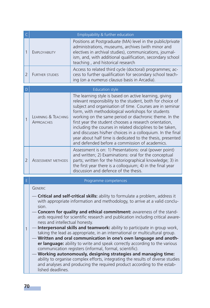|                | Employability & further education        |                                                                                                                                                                                                                                                                                                                                                                                                                                                                                                                                                                                                      |
|----------------|------------------------------------------|------------------------------------------------------------------------------------------------------------------------------------------------------------------------------------------------------------------------------------------------------------------------------------------------------------------------------------------------------------------------------------------------------------------------------------------------------------------------------------------------------------------------------------------------------------------------------------------------------|
| 1              | EMPLOYABILITY                            | Positions at Postgraduate (MA) level in the public/private<br>administrations, museums, archives (with minor and<br>electives in archival studies), communications, journal-<br>ism, and, with additional qualification, secondary school<br>teaching, and historical research                                                                                                                                                                                                                                                                                                                       |
| $\overline{2}$ | <b>FURTHER STUDIES</b>                   | Access to related third cycle (doctoral) programmes; ac-<br>cess to further qualification for secondary school teach-<br>ing (on a numerus clausus basis in Arcadia).                                                                                                                                                                                                                                                                                                                                                                                                                                |
|                | <b>Education style</b>                   |                                                                                                                                                                                                                                                                                                                                                                                                                                                                                                                                                                                                      |
| 1              | LEARNING & TEACHING<br><b>APPROACHES</b> | The learning style is based on active learning, giving<br>relevant responsibility to the student, both for choice of<br>subject and organisation of time. Courses are in seminar<br>form, with methodological workshops for students<br>working on the same period or diachronic theme. In the<br>first year the student chooses a research orientation,<br>including the courses in related disciplines to be taken,<br>and discusses his/her choices in a colloquium. In the final<br>year about half time is dedicated to the thesis, presented<br>and defended before a commission of academics. |
| $\overline{2}$ | <b>ASSESSMENT METHODS</b>                | Assessment is on: 1) Presentations: oral (power point)<br>and written; 2) Examinations: oral for the conceptual<br>parts; written for the historiographical knowledge; 3) in<br>the first year there is a colloquium; 4) in the final year<br>discussion and defence of the thesis.                                                                                                                                                                                                                                                                                                                  |
|                |                                          |                                                                                                                                                                                                                                                                                                                                                                                                                                                                                                                                                                                                      |

#### E Programme competences

#### GENERIC

- **Critical and self-critical skills:** ability to formulate a problem, address it with appropriate information and methodology, to arrive at a valid conclusion.
- **Concern for quality and ethical commitment:** awareness of the standards required for scientific research and publication including critical awareness and intellectual honesty.
- 1 — **Interpersonal skills and teamwork:** ability to participate in group work, taking the lead as appropriate, in an international or multicultural group.
	- **Written and oral communication in one's own language and another language:** ability to write and speak correctly according to the various communication registers (informal, formal, scientific).

#### — **Working autonomously, designing strategies and managing time:** ability to organise complex efforts, integrating the results of diverse studies and analyses and producing the required product according to the established deadlines.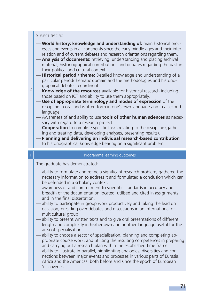#### SUBJECT SPECIFIC

- **World history: knowledge and understanding of:** main historical processes and events in all continents since the early middle ages and their interrelation and of current debates and research orientations regarding them.
- **Analysis of documents:** retrieving, understanding and placing archival material, historiographical contributions and debates regarding the past in their political and cultural context.
- **Historical period / theme:** Detailed knowledge and understanding of a particular period/thematic domain and the methodologies and historiographical debates regarding it.
- 2 **Knowledge of the resources** available for historical research including those based on ICT and ability to use them appropriately.
	- **Use of appropriate terminology and modes of expression** of the discipline in oral and written form in one's own language and in a second language.
	- Awareness of and ability to use **tools of other human sciences** as necessary with regard to a research project.
	- **Cooperation** to complete specific tasks relating to the discipline (gathering and treating data, developing analyses, presenting results).
	- **Planning and delivering an individual research-based contribution**  to historiographical knowledge bearing on a significant problem.

#### Programme learning outcomes

The graduate has demonstrated:

- ability to formulate and refine a significant research problem, gathered the necessary information to address it and formulated a conclusion which can be defended in a scholarly context.
- awareness of and commitment to scientific standards in accuracy and breadth of the documentation located, utilised and cited in assignments and in the final dissertation.
- ability to participate in group work productively and taking the lead on occasion, presiding over debates and discussions in an international or multicultural group.
- ability to present written texts and to give oral presentations of different length and complexity in his/her own and another language useful for the area of specialisation.
- ability to choose a sector of specialisation, planning and completing appropriate course work, and utilising the resulting competences in preparing and carrying out a research plan within the established time frame.
- ability to illustrate in parallel, highlighting analogies, diversities and connections between major events and processes in various parts of Eurasia, Africa and the Americas, both before and since the epoch of European 'discoveries'.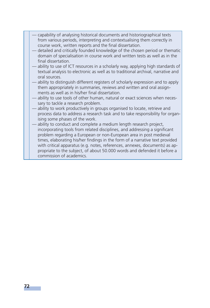- capability of analysing historical documents and historiographical texts from various periods, interpreting and contextualising them correctly in course work, written reports and the final dissertation.
- detailed and critically founded knowledge of the chosen period or thematic domain of specialisation in course work and written tests as well as in the final dissertation.
- ability to use of ICT resources in a scholarly way, applying high standards of textual analysis to electronic as well as to traditional archival, narrative and oral sources.
- ability to distinguish different registers of scholarly expression and to apply them appropriately in summaries, reviews and written and oral assignments as well as in his/her final dissertation.
- ability to use tools of other human, natural or exact sciences when necessary to tackle a research problem.
- ability to work productively in groups organised to locate, retrieve and process data to address a research task and to take responsibility for organising some phases of the work.
- ability to conduct and complete a medium length research project, incorporating tools from related disciplines, and addressing a significant problem regarding a European or non-European area in post medieval times, elaborating his/her findings in the form of a narrative text provided with critical apparatus (e.g. notes, references, annexes, documents) as appropriate to the subject, of about 50.000 words and defended it before a commission of academics.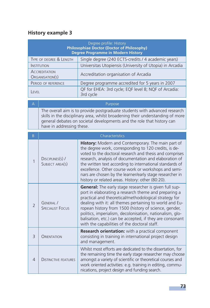# **History example 3**

| Degree profile: History<br><b>Philosophiae Doctor (Doctor of Philosophy)</b><br><b>Degree Programme in Modern History</b> |                                         |                                                                                                                                                                                                                                                                                                                                                                                                                                                                       |
|---------------------------------------------------------------------------------------------------------------------------|-----------------------------------------|-----------------------------------------------------------------------------------------------------------------------------------------------------------------------------------------------------------------------------------------------------------------------------------------------------------------------------------------------------------------------------------------------------------------------------------------------------------------------|
| TYPE OF DEGREE & LENGTH                                                                                                   |                                         | Single degree (240 ECTS-credits / 4 academic years)                                                                                                                                                                                                                                                                                                                                                                                                                   |
|                                                                                                                           | <b>INSTITUTION</b>                      | Universitas Utopiensis (University of Utopia) in Arcadia                                                                                                                                                                                                                                                                                                                                                                                                              |
|                                                                                                                           | <b>ACCREDITATION</b><br>ORGANISATION(S) | Accreditation organisation of Arcadia                                                                                                                                                                                                                                                                                                                                                                                                                                 |
|                                                                                                                           | PERIOD OF REFERENCE                     | Degree programme accredited for 5 years in 2007                                                                                                                                                                                                                                                                                                                                                                                                                       |
| LEVEL                                                                                                                     |                                         | QF for EHEA: 3rd cycle; EQF level 8; NQF of Arcadia:<br>3rd cycle                                                                                                                                                                                                                                                                                                                                                                                                     |
| $\overline{A}$                                                                                                            |                                         | Purpose                                                                                                                                                                                                                                                                                                                                                                                                                                                               |
|                                                                                                                           | have in addressing these.               | The overall aim is to provide postgraduate students with advanced research<br>skills in the disciplinary area, whilst broadening their understanding of more<br>general debates on societal developments and the role that history can                                                                                                                                                                                                                                |
| B                                                                                                                         |                                         | Characteristics                                                                                                                                                                                                                                                                                                                                                                                                                                                       |
| 1                                                                                                                         | DISCIPLINES(S) /<br>SUBJECT AREA(S)     | History: Modern and Contemporary. The main part of<br>the degree work, corresponding to 120 credits, is de-<br>voted to the doctoral research and thesis and comprises<br>research, analysis of documentation and elaboration of<br>the written text according to international standards of<br>excellence. Other course work or workshops and semi-<br>nars are chosen by the learner/early stage researcher in<br>history or related areas. History: other (80:20). |
| $\overline{\phantom{0}}$                                                                                                  | GENERAL /<br><b>SPECIALIST FOCUS</b>    | General: The early stage researcher is given full sup-<br>port in elaborating a research theme and preparing a<br>practical and theoretical/methodological strategy for<br>dealing with it: all themes pertaining to world and Eu-<br>ropean history from 1500 (history of science, gender,<br>politics, imperialism, decolonisation, nationalism, glo-<br>balisation, etc.) can be accepted, if they are consonant<br>with the capabilities of the doctoral staff.   |
| $\overline{3}$                                                                                                            | ORIENTATION                             | Research orientation: with a practical component<br>consisting in training in international project design<br>and management.                                                                                                                                                                                                                                                                                                                                         |
| $\overline{4}$                                                                                                            | <b>DISTINCTIVE FEATURES</b>             | Whilst most efforts are dedicated to the dissertation, for<br>the remaining time the early stage researcher may choose<br>amongst a variety of scientific or theoretical courses and<br>work oriented activities: e.g. training in editing, commu-<br>nications, project design and funding search.                                                                                                                                                                   |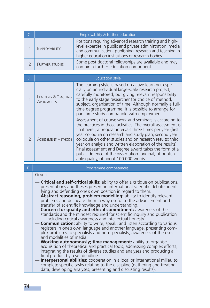| Employability & further education |                                                                                                                                                                                                                                         |
|-----------------------------------|-----------------------------------------------------------------------------------------------------------------------------------------------------------------------------------------------------------------------------------------|
| <b>EMPLOYABILITY</b>              | Positions requiring advanced research training and high-<br>level expertise in public and private administration, media<br>and communication, publishing, research and teaching in<br>higher education institutions or research bodies. |
| FURTHER STUDIES                   | Some post doctoral fellowships are available and may<br>contain a further education component.                                                                                                                                          |

| D | <b>Education style</b>                   |                                                                                                                                                                                                                                                                                                                                                                                                                                                                                                                                             |
|---|------------------------------------------|---------------------------------------------------------------------------------------------------------------------------------------------------------------------------------------------------------------------------------------------------------------------------------------------------------------------------------------------------------------------------------------------------------------------------------------------------------------------------------------------------------------------------------------------|
|   | LEARNING & TEACHING<br><b>APPROACHES</b> | The learning style is based on active learning, espe-<br>cially on an individual large-scale research project,<br>carefully monitored, but giving relevant responsibility<br>to the early stage researcher for choice of method,<br>subject, organisation of time. Although normally a full-<br>time degree programme, it is possible to arrange for<br>part-time study compatible with employment.                                                                                                                                         |
|   | ASSESSMENT METHODS                       | Assessment of course work and seminars is according to<br>the practices in those activities. The overall assessment is<br>'in itinere', at regular intervals three times per year (first<br>year colloquia on research and study plan; second year<br>colloquia on other studies and on research results; third<br>year on analysis and written elaboration of the results).<br>Final assessment and Degree award takes the form of a<br>public defence of the dissertation: original, of publish-<br>able quality, of about 100,000 words. |

| E | Programme competences                                                                                                                                                                                                                                                                                                                                                                                                                                                                                                                                                                                                                                                                                                                                                                                                                                                                                                                                                                                                                                                                                                                                                                                                                                                                                                                                                                                              |
|---|--------------------------------------------------------------------------------------------------------------------------------------------------------------------------------------------------------------------------------------------------------------------------------------------------------------------------------------------------------------------------------------------------------------------------------------------------------------------------------------------------------------------------------------------------------------------------------------------------------------------------------------------------------------------------------------------------------------------------------------------------------------------------------------------------------------------------------------------------------------------------------------------------------------------------------------------------------------------------------------------------------------------------------------------------------------------------------------------------------------------------------------------------------------------------------------------------------------------------------------------------------------------------------------------------------------------------------------------------------------------------------------------------------------------|
|   | <b>GENERIC</b>                                                                                                                                                                                                                                                                                                                                                                                                                                                                                                                                                                                                                                                                                                                                                                                                                                                                                                                                                                                                                                                                                                                                                                                                                                                                                                                                                                                                     |
|   | - <b>Critical and self-critical skills:</b> ability to offer a critique on publications,<br>presentations and theses present in international scientific debate, identi-<br>fying and defending one's own position in regard to them.<br>- Abstract reasoning, problem modelling: ability to identify relevant<br>problems and delineate them in way useful to the advancement and<br>transfer of scientific knowledge and understanding.<br>- Concern for quality and ethical commitment: awareness of the<br>standards and the mindset required for scientific inquiry and publication<br>- including critical awareness and intellectual honesty.<br>- <b>Communication:</b> ability to write, speak, and listen according to various<br>registers in one's own language and another language, presenting com-<br>plex problems to specialists and non-specialists; awareness of the uses<br>and modalities of media.<br>Working autonomously; time management: ability to organise<br>acquisition of theoretical and practical tools, addressing complex efforts,<br>integrating the results of diverse studies and analyses and producing a<br>final product by a set deadline.<br>Interpersonal abilities: cooperation in a local or international milieu to<br>complete specific tasks relating to the discipline (gathering and treating<br>data, developing analyses, presenting and discussing results). |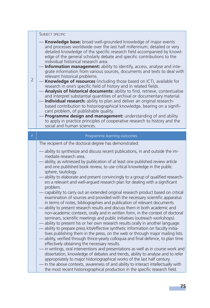#### SUBJECT SPECIFIC

- **Knowledge base:** broad well-grounded knowledge of major events and processes worldwide over the last half millennium; detailed or very detailed knowledge of the specific research field accompanied by knowledge of the general scholarly debate and specific contributions to the individual historical research area.
- **Information management:** ability to identify, access, analyse and integrate information from various sources, documents and texts to deal with relevant historical problems.
- **Knowledge of resources** (including those based on ICT), available for research in one's specific field of history and in related fields.
	- Analysis of historical documents: ability to find, retrieve, contextualise and interpret substantial quantities of archival or documentary material.
	- **Individual research:** ability to plan and deliver an original researchbased contribution to historiographical knowledge, bearing on a significant problem, of publishable quality.
	- Programme design and management: understanding of and ability to apply in practice principles of cooperative research to history and the social and human sciences.

| F | Programme learning outcomes                                                                                                                                                                                                                                                                                                                                                                                                                                                                                                                                                                                                                                                                                                                                                                                                                                                                                                                                                                                                                                                                                                                                                                                                                                                                                                                                                                                                                                        |
|---|--------------------------------------------------------------------------------------------------------------------------------------------------------------------------------------------------------------------------------------------------------------------------------------------------------------------------------------------------------------------------------------------------------------------------------------------------------------------------------------------------------------------------------------------------------------------------------------------------------------------------------------------------------------------------------------------------------------------------------------------------------------------------------------------------------------------------------------------------------------------------------------------------------------------------------------------------------------------------------------------------------------------------------------------------------------------------------------------------------------------------------------------------------------------------------------------------------------------------------------------------------------------------------------------------------------------------------------------------------------------------------------------------------------------------------------------------------------------|
|   | The recipient of the doctoral degree has demonstrated:                                                                                                                                                                                                                                                                                                                                                                                                                                                                                                                                                                                                                                                                                                                                                                                                                                                                                                                                                                                                                                                                                                                                                                                                                                                                                                                                                                                                             |
|   | - ability to synthesize and discuss recent publications, in and outside the im-<br>mediate research area.<br>- ability, as witnessed by publication of at least one published review article<br>and one published book review, to use critical knowledge in the public<br>sphere; tautology.<br>— ability to elaborate and present convincingly to a group of qualified research-<br>ers a relevant and well-argued research plan for dealing with a significant<br>problem.<br>- capability to carry out an extended original research product based on critical<br>examination of sources and provided with the necessary scientific apparatus<br>in terms of notes, bibliographies and publication of relevant documents.<br>- ability to present research results and discuss them in both academic and<br>non-academic contexts, orally and in written form, in the context of doctoral<br>seminars, scientific meetings and public initiatives (outreach workshops).<br>- ability to present his or her own research results orally in another language.<br>- ability to prepare press kits/effective synthetic information on faculty initia-<br>tives publishing them in the press, on the web or through major mailing lists.<br>- ability, verified through thrice-yearly colloquia and final defence, to plan time<br>effectively obtaining the necessary results.<br>- in writings, oral interventions and presentations as well as in course work and |
|   | dissertation, knowledge of debates and trends, ability to analyse and to refer<br>appropriately to major historiographical works of the last half century.<br>- In the above contexts, awareness of and ability to interact intellectually with<br>the most recent historiographical production in the specific research field.                                                                                                                                                                                                                                                                                                                                                                                                                                                                                                                                                                                                                                                                                                                                                                                                                                                                                                                                                                                                                                                                                                                                    |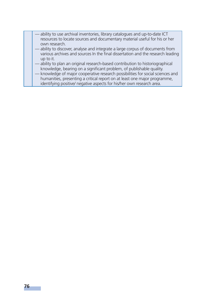|  | — ability to use archival inventories, library catalogues and up-to-date ICT<br>resources to locate sources and documentary material useful for his or her<br>own research.<br>— ability to discover, analyse and integrate a large corpus of documents from                                                                                                                                                                                                                                    |
|--|-------------------------------------------------------------------------------------------------------------------------------------------------------------------------------------------------------------------------------------------------------------------------------------------------------------------------------------------------------------------------------------------------------------------------------------------------------------------------------------------------|
|  | various archives and sources In the final dissertation and the research leading<br>up to it.<br>- ability to plan an original research-based contribution to historiographical<br>knowledge, bearing on a significant problem, of publishable quality.<br>- knowledge of major cooperative research possibilities for social sciences and<br>humanities, presenting a critical report on at least one major programme,<br>identifying positive/ negative aspects for his/her own research area. |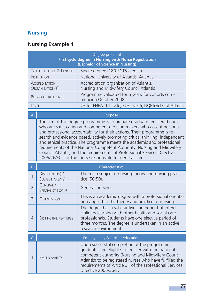# **Nursing**

# **Nursing Example 1**

| Degree profile of<br>First cycle degree in Nursing with Nurse Registration<br>(Bachelor of Science in Nursing) |                                                                                   |
|----------------------------------------------------------------------------------------------------------------|-----------------------------------------------------------------------------------|
| TYPE OF DEGREE & LENGTH                                                                                        | Single degree (180 ECTS-credits)                                                  |
| <b>INSTITUTION</b>                                                                                             | National University of Atlantis, Atlantis                                         |
| <b>ACCREDITATION</b><br>ORGANISATION(S)                                                                        | Accreditation organisation of Atlantis.<br>Nursing and Midwifery Council Atlantis |
| PERIOD OF REFERENCE                                                                                            | Programme validated for 5 years for cohorts com-<br>mencing October 2008          |
| <b>EVFL</b>                                                                                                    | QF for EHEA: 1st cycle; EQF level 6; NQF level 6 of Atlantis                      |

A Purpose The aim of this degree programme is to prepare graduate registered nurses who are safe, caring and competent decision makers who accept personal and professional accountability for their actions. Their programme is research and evidence based, actively promoting critical thinking, independent and ethical practice. The programme meets the academic and professional requirements of the National Competent Authority (Nursing and Midwifery Council Atlantis) and the requirements of Professional Services Directive 2005/26/EC, for the 'nurse responsible for general care'.

| B                        | Characteristics                      |                                                                                                                                                                                                                                                                                                            |
|--------------------------|--------------------------------------|------------------------------------------------------------------------------------------------------------------------------------------------------------------------------------------------------------------------------------------------------------------------------------------------------------|
| 1                        | DISCIPLINES(S) /<br>SUBJECT AREA(S)  | The main subject is nursing theory and nursing prac-<br>tice (50:50).                                                                                                                                                                                                                                      |
| $\overline{\phantom{0}}$ | GENERAL /<br><b>SPECIALIST FOCUS</b> | General nursing.                                                                                                                                                                                                                                                                                           |
| $\overline{\mathcal{E}}$ | ORIENTATION                          | This is an academic degree with a professional orienta-<br>tion applied to the theory and practice of nursing.                                                                                                                                                                                             |
| 4                        | <b>DISTINCTIVE FEATURES</b>          | The degree has a substantive component of interdis-<br>ciplinary learning with other health and social care<br>professionals. Students have one elective period of<br>three months. The degree is undertaken in an active<br>research environment.                                                         |
| ۲                        |                                      | Employability & further education                                                                                                                                                                                                                                                                          |
|                          |                                      |                                                                                                                                                                                                                                                                                                            |
| 1                        | <b>EMPLOYABILITY</b>                 | Upon successful completion of the programme,<br>graduates are eligible to register with the national<br>competent authority (Nursing and Midwifery Council<br>Atlantis) to be registered nurses who have fulfilled the<br>requirements of Article 31 of the Professional Services<br>Directive 2005/36/EC. |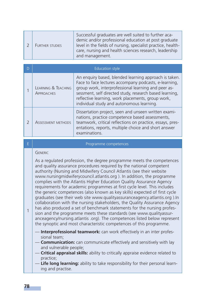| <b>FURTHER STUDIES</b> | Successful graduates are well suited to further aca-<br>demic and/or professional education at post graduate<br>level in the fields of nursing, specialist practice, health-<br>care, nursing and health sciences research, leadership<br>and management. |
|------------------------|-----------------------------------------------------------------------------------------------------------------------------------------------------------------------------------------------------------------------------------------------------------|
|                        |                                                                                                                                                                                                                                                           |

| <b>Education style</b>                   |                                                                                                                                                                                                                                                                                                                                    |
|------------------------------------------|------------------------------------------------------------------------------------------------------------------------------------------------------------------------------------------------------------------------------------------------------------------------------------------------------------------------------------|
| LEARNING & TEACHING<br><b>APPROACHES</b> | An enquiry based, blended learning approach is taken.<br>Face to face lectures accompany podcasts, e-learning,<br>group work, interprofessional learning and peer as-<br>sessment, self directed study, research based learning,<br>reflective learning, work placements, group work,<br>individual study and autonomous learning. |
| <b>ASSESSMENT METHODS</b>                | Dissertation project, seen and unseen written exami-<br>nations, practice competence based assessments,<br>teamwork, critical reflections on practice, essays, pres-<br>entations, reports, multiple choice and short answer<br>examinations.                                                                                      |

#### E Programme competences

#### GENERIC

As a regulated profession, the degree programme meets the competences and quality assurance procedures required by the national competent authority (Nursing and Midwifery Council Atlantis (see their website www.nursingmidwiferycouncil.atlantis.org ). In addition, the programme complies with the Atlantis Higher Education Quality Assurance Agency requirements for academic programmes at first cycle level. This includes the generic competences (also known as key skills) expected of first cycle graduates (see their web site www.qualityassuranceagency.atlantis.org ).In collaboration with the nursing stakeholders, the Quality Assurance Agency has also produced a set of benchmark statements for the nursing profession and the programme meets these standards (see www.qualityassuranceagency/nursing.atlantis .org). The competences listed below represent the synoptic and most characteristic competences of this programme.

- **Interprofessional teamwork:** can work effectively in an inter professional team;
- **Communication:** can communicate effectively and sensitively with lay and vulnerable people;
- **Critical appraisal skills:** ability to critically appraise evidence related to practice;
- **Life long learning:** ability to take responsibility for their personal learning and practise.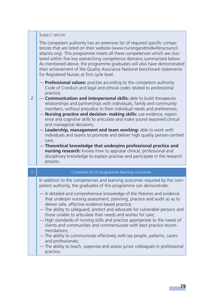#### SUBJECT SPECIFIC

2

The competent authority has an extensive list of required specific competences that are listed on their website (www.nursingandmidwiferycouncil. atlantis.org). This programme meets all these competences which are clustered within five key overarching competence domains summarised below. As mentioned above, the programme graduates will also have demonstrated their achievement of the Quality Assurance National benchmark statements for Registered Nurses at first cycle level.

- **Professional values:** practise according to the competent authority Code of Conduct and legal and ethical codes related to professional practice;
- **Communication and interpersonal skills:** able to build therapeutic relationships and partnerships with individuals, family and community members, without prejudice to their individual needs and preferences;
	- **Nursing practice and decision- making skills:** use evidence, experience and cognitive skills to articulate and make sound reasoned clinical and managerial decisions;
	- **Leadership, management and team working:** able to work with individuals and teams to promote and deliver high quality person-centred care;
	- **Theoretical knowledge that underpins professional practice and nursing research:** knows how to appraise clinical, professional and disciplinary knowledge to explain practise and participate in the research process.

| F | Complete list of programme learning outcomes                                                                                                                                                                                                                                                                                                                                                                                                                                                                                                                                                                                                                                                                              |
|---|---------------------------------------------------------------------------------------------------------------------------------------------------------------------------------------------------------------------------------------------------------------------------------------------------------------------------------------------------------------------------------------------------------------------------------------------------------------------------------------------------------------------------------------------------------------------------------------------------------------------------------------------------------------------------------------------------------------------------|
|   | In addition to the competences and learning outcomes required by the com-<br>petent authority, the graduates of this programme can demonstrate:                                                                                                                                                                                                                                                                                                                                                                                                                                                                                                                                                                           |
|   | — A detailed and comprehensive knowledge of the theories and evidence<br>that underpin nursing assessment, planning, practice and audit so as to<br>deliver safe, effective evidence based practice;<br>- The ability to safeguard, protect and advocate for vulnerable persons and<br>those unable to articulate their needs and wishes for care;<br>— High standards of nursing skills and practice appropriate to the needs of<br>clients and communities and commensurate with best practice recom-<br>mendations;<br>— The ability to communicate effectively with lay people, patients, carers<br>and professionals;<br>— The ability to teach, supervise and assess junior colleagues in professional<br>practice. |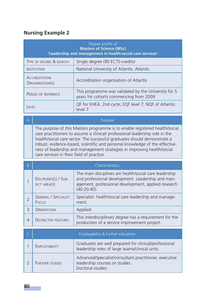# **Nursing Example 2**

| Degree profile of<br><b>Masters of Science (MSc)</b><br>'Leadership and management in health/social care services' |                                                                                                |
|--------------------------------------------------------------------------------------------------------------------|------------------------------------------------------------------------------------------------|
| TYPE OF DEGREE & LENGTH                                                                                            | Single degree (90 ECTS-credits)                                                                |
| <b>INSTITUTION</b>                                                                                                 | National University of Atlantis, Atlantis                                                      |
| <b>ACCREDITATION</b><br>ORGANISATION(S)                                                                            | Accreditation organisation of Atlantis                                                         |
| PERIOD OF REFERENCE                                                                                                | This programme was validated by the University for 5<br>years for cohorts commencing from 2009 |
| <b>FVFI</b>                                                                                                        | OF for EHEA: 2nd cycle; EQF level 7; NQF of Atlantis:<br>level 7                               |

#### A Purpose

The purpose of this Masters programme is to enable registered health/social care practitioners to assume a clinical/ professional leadership role in the health/social care sector. The successful graduates should demonstrate a robust, evidence-based, scientific and personal knowledge of the effectiveness of leadership and management strategies in improving health/social care services in their field of practice.

| <sub>B</sub>   | Characteristics                       |                                                                                                                                                                                      |
|----------------|---------------------------------------|--------------------------------------------------------------------------------------------------------------------------------------------------------------------------------------|
|                | DISCIPLINES(S) / SUB-<br>JECT AREA(S) | The main disciplines are health/social care leadership<br>and professional development. Leadership and man-<br>agement, professional development, applied research<br>$(40:20:40)$ . |
| $\overline{2}$ | <b>GENERAL / SPECIALIST</b><br>Focus  | Specialist: health/social care leadership and manage-<br>ment.                                                                                                                       |
| 3              | ORIENTATION                           | Applied.                                                                                                                                                                             |
| 4              | <b>DISTINCTIVE FEATURES</b>           | This interdisciplinary degree has a requirement for the<br>production of a service improvement project.                                                                              |
|                |                                       |                                                                                                                                                                                      |
|                |                                       | Employability & further education                                                                                                                                                    |
|                | <b>EMPLOYABILITY</b>                  | Graduates are well prepared for clinical/professional<br>leadership roles of large teams/clinical units.                                                                             |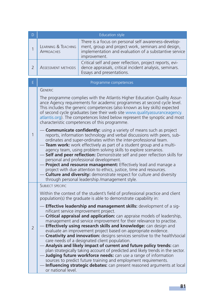| D              |                                                                                                                                                                                                                                                                                                                                                                                                                                                                                                                                                                                                                                                                                                                                                                            | <b>Education style</b>                                                                                                                                                                                                                                                                                                                                                                                                                                                                                                                                                                                                                                                                                                                                                                                                                                                                                             |
|----------------|----------------------------------------------------------------------------------------------------------------------------------------------------------------------------------------------------------------------------------------------------------------------------------------------------------------------------------------------------------------------------------------------------------------------------------------------------------------------------------------------------------------------------------------------------------------------------------------------------------------------------------------------------------------------------------------------------------------------------------------------------------------------------|--------------------------------------------------------------------------------------------------------------------------------------------------------------------------------------------------------------------------------------------------------------------------------------------------------------------------------------------------------------------------------------------------------------------------------------------------------------------------------------------------------------------------------------------------------------------------------------------------------------------------------------------------------------------------------------------------------------------------------------------------------------------------------------------------------------------------------------------------------------------------------------------------------------------|
| $\mathbf{1}$   | LEARNING & TEACHING<br><b>APPROACHES</b>                                                                                                                                                                                                                                                                                                                                                                                                                                                                                                                                                                                                                                                                                                                                   | There is a focus on personal self awareness-develop-<br>ment, group and project work, seminars and design,<br>implementation and evaluation of a substantive service<br>improvement.                                                                                                                                                                                                                                                                                                                                                                                                                                                                                                                                                                                                                                                                                                                               |
| $\overline{2}$ | <b>ASSESSMENT METHODS</b>                                                                                                                                                                                                                                                                                                                                                                                                                                                                                                                                                                                                                                                                                                                                                  | Critical self and peer reflection, project reports, evi-<br>dence appraisals, critical incident analysis, seminars.<br>Essays and presentations.                                                                                                                                                                                                                                                                                                                                                                                                                                                                                                                                                                                                                                                                                                                                                                   |
| E              |                                                                                                                                                                                                                                                                                                                                                                                                                                                                                                                                                                                                                                                                                                                                                                            | Programme competences                                                                                                                                                                                                                                                                                                                                                                                                                                                                                                                                                                                                                                                                                                                                                                                                                                                                                              |
|                | <b>GENERIC</b>                                                                                                                                                                                                                                                                                                                                                                                                                                                                                                                                                                                                                                                                                                                                                             |                                                                                                                                                                                                                                                                                                                                                                                                                                                                                                                                                                                                                                                                                                                                                                                                                                                                                                                    |
| 1              | The programme complies with the Atlantis Higher Education Quality Assur-<br>ance Agency requirements for academic programmes at second cycle level.<br>This includes the generic competences (also known as key skills) expected<br>of second cycle graduates (see their web site www.qualityassuranceagency.<br>atlantis.org). The competences listed below represent the synoptic and most<br>characteristic competences of this programme.                                                                                                                                                                                                                                                                                                                              |                                                                                                                                                                                                                                                                                                                                                                                                                                                                                                                                                                                                                                                                                                                                                                                                                                                                                                                    |
|                | <b>Communicate confidently:</b> using a variety of means such as project<br>reports, information technology and verbal discussions with peers, sub-<br>ordinates and super-ordinates within the inter-professional team.<br>- Team work: work effectively as part of a student group and a multi-<br>agency team, using problem solving skills to explore scenarios.<br>- Self and peer reflection: Demonstrate self and peer reflection skills for<br>personal and professional development.<br>- Project and resource management: Effectively lead and manage a<br>project with due attention to ethics, justice, time and resources.<br>- <b>Culture and diversity:</b> demonstrate respect for culture and diversity<br>through personal leadership /management style. |                                                                                                                                                                                                                                                                                                                                                                                                                                                                                                                                                                                                                                                                                                                                                                                                                                                                                                                    |
|                | <b>SUBJECT SPECIFIC</b>                                                                                                                                                                                                                                                                                                                                                                                                                                                                                                                                                                                                                                                                                                                                                    |                                                                                                                                                                                                                                                                                                                                                                                                                                                                                                                                                                                                                                                                                                                                                                                                                                                                                                                    |
|                |                                                                                                                                                                                                                                                                                                                                                                                                                                                                                                                                                                                                                                                                                                                                                                            | Within the context of the student's field of professional practice and client<br>population(s) the graduate is able to demonstrate capability in:                                                                                                                                                                                                                                                                                                                                                                                                                                                                                                                                                                                                                                                                                                                                                                  |
| $\overline{2}$ | or national level.                                                                                                                                                                                                                                                                                                                                                                                                                                                                                                                                                                                                                                                                                                                                                         | - Effective leadership and management skills: development of a sig-<br>nificant service improvement project.<br>- Critical appraisal and application: can appraise models of leadership,<br>management and service improvement for their relevance to practise.<br>- Effectively using research skills and knowledge: can design and<br>evaluate an improvement project based on appropriate evidence.<br>- Creativity and innovation: designs services sensitive to the health/social<br>care needs of a designated client population.<br>- Analysis and likely impact of current and future policy trends: can<br>plan strategically taking account of predicted and likely trends in the sector.<br>Judging future workforce needs: can use a range of information<br>sources to predict future training and employment requirements.<br>Influencing strategic debates: can present reasoned arguments at local |

T.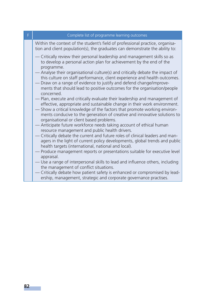| F. | Complete list of programme learning outcomes                                                                                                                                                                        |
|----|---------------------------------------------------------------------------------------------------------------------------------------------------------------------------------------------------------------------|
|    | Within the context of the student's field of professional practice, organisa-<br>tion and client population(s), the graduates can demonstrate the ability to:                                                       |
|    | - Critically review their personal leadership and management skills so as<br>to develop a personal action plan for achievement by the end of the<br>programme.                                                      |
|    | - Analyse their organisational culture(s) and critically debate the impact of<br>this culture on staff performance, client experience and health outcomes.                                                          |
|    | - Draw on a range of evidence to justify and defend change/improve-<br>ments that should lead to positive outcomes for the organisation/people<br>concerned.                                                        |
|    | - Plan, execute and critically evaluate their leadership and management of<br>effective, appropriate and sustainable change in their work environment.                                                              |
|    | Show a critical knowledge of the factors that promote working environ-<br>ments conducive to the generation of creative and innovative solutions to<br>organisational or client based problems.                     |
|    | Anticipate future workforce needs taking account of ethical human<br>resource management and public health drivers.                                                                                                 |
|    | - Critically debate the current and future roles of clinical leaders and man-<br>agers in the light of current policy developments, global trends and public<br>health targets (international, national and local). |
|    | - Produce management reports or presentations suitable for executive level<br>appraisal.                                                                                                                            |
|    | - Use a range of interpersonal skills to lead and influence others, including<br>the management of conflict situations.                                                                                             |
|    | - Critically debate how patient safety is enhanced or compromised by lead-<br>ership, management, strategic and corporate governance practises.                                                                     |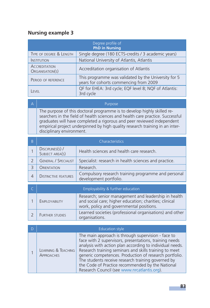# **Nursing example 3**

| Degree profile of<br><b>PhD in Nursing</b> |                                                                                                |
|--------------------------------------------|------------------------------------------------------------------------------------------------|
| TYPE OF DEGREE & LENGTH                    | Single degree (180 ECTS-credits / 3 academic years)                                            |
| <b>INSTITUTION</b>                         | National University of Atlantis, Atlantis                                                      |
| <b>ACCREDITATION</b><br>ORGANISATION(S)    | Accreditation organisation of Atlantis                                                         |
| PERIOD OF REFERENCE                        | This programme was validated by the University for 5<br>years for cohorts commencing from 2009 |
| <b>FVFI</b>                                | QF for EHEA: 3rd cycle; EQF level 8; NQF of Atlantis:<br>3rd cycle                             |

| $\Delta$ | Purpose                                                                                                                                                                                                                                                                                                                                          |
|----------|--------------------------------------------------------------------------------------------------------------------------------------------------------------------------------------------------------------------------------------------------------------------------------------------------------------------------------------------------|
|          | The purpose of this doctoral programme is to develop highly skilled re-<br>searchers in the field of health sciences and health care practice. Successful<br>graduates will have completed a rigorous and peer reviewed independent<br>empirical project underpinned by high quality research training in an inter-<br>disciplinary environment. |
|          |                                                                                                                                                                                                                                                                                                                                                  |

| B | Characteristics                     |                                                                               |
|---|-------------------------------------|-------------------------------------------------------------------------------|
|   | DISCIPLINES(S) /<br>SUBJECT AREA(S) | Health sciences and health care research                                      |
|   | <b>GENERAL / SPECIALIST</b>         | Specialist: research in health sciences and practice.                         |
|   | <b>ORIENTATION</b>                  | Research.                                                                     |
|   | <b>DISTINCTIVE FEATURES</b>         | Compulsory research training programme and personal<br>development portfolio. |

|                        | Employability & further education                                                                                                                          |
|------------------------|------------------------------------------------------------------------------------------------------------------------------------------------------------|
| <b>EMPLOYABILITY</b>   | Research; senior management and leadership in health<br>and social care; higher education; charities; clinical<br>work, policy and governmental positions. |
| <b>FURTHER STUDIES</b> | Learned societies (professional organisations) and other<br>organisations.                                                                                 |

|                                          | Education style                                                                                                                                                                                                                                                                                                                                                                                                                                       |
|------------------------------------------|-------------------------------------------------------------------------------------------------------------------------------------------------------------------------------------------------------------------------------------------------------------------------------------------------------------------------------------------------------------------------------------------------------------------------------------------------------|
| LEARNING & TEACHING<br><b>APPROACHES</b> | The main approach is through supervision - face to<br>face with 2 supervisors, presentations, training needs<br>analysis with action plan according to individual needs.<br>Research training seminars and skills training to meet<br>generic competences. Production of research portfolio.<br>The students receive research training governed by<br>the Code of Practice recommended by the National<br>Research Council (see www.nrcatlantis.org). |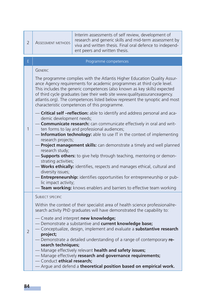| $\overline{2}$ | <b>ASSESSMENT METHODS</b>                                                                                                                                                                                                                                                                                                                                                                                                                                                                                                                                                                                                                                                                                                                                                                                                                                                                                                                                                                                                                                                                                                                                                                                                                                                             | Interim assessments of self review, development of<br>research and generic skills and mid-term assessment by<br>viva and written thesis. Final oral defence to independ-<br>ent peers and written thesis. |
|----------------|---------------------------------------------------------------------------------------------------------------------------------------------------------------------------------------------------------------------------------------------------------------------------------------------------------------------------------------------------------------------------------------------------------------------------------------------------------------------------------------------------------------------------------------------------------------------------------------------------------------------------------------------------------------------------------------------------------------------------------------------------------------------------------------------------------------------------------------------------------------------------------------------------------------------------------------------------------------------------------------------------------------------------------------------------------------------------------------------------------------------------------------------------------------------------------------------------------------------------------------------------------------------------------------|-----------------------------------------------------------------------------------------------------------------------------------------------------------------------------------------------------------|
| Ė              |                                                                                                                                                                                                                                                                                                                                                                                                                                                                                                                                                                                                                                                                                                                                                                                                                                                                                                                                                                                                                                                                                                                                                                                                                                                                                       | Programme competences                                                                                                                                                                                     |
| 1              | <b>GENERIC</b><br>The programme complies with the Atlantis Higher Education Quality Assur-<br>ance Agency requirements for academic programmes at third cycle level.<br>This includes the generic competences (also known as key skills) expected<br>of third cycle graduates (see their web site www.qualityassuranceagency.<br>atlantis.org). The competences listed below represent the synoptic and most<br>characteristic competences of this programme.<br>- Critical self -reflection: able to identify and address personal and aca-<br>demic development needs;<br>- Communicate research: can communicate effectively in oral and writ-<br>ten forms to lay and professional audiences;<br>- Information technology: able to use IT in the context of implementing<br>research projects;<br>- Project management skills: can demonstrate a timely and well planned<br>research study:<br>- Supports others: to give help through teaching, mentoring or demon-<br>strating activities;<br>- Works ethically: identifies, respects and manages ethical, cultural and<br>diversity issues;<br>- <b>Entrepreneurship:</b> identifies opportunities for entrepreneurship or pub-<br>lic impact activity;<br>Team working: knows enablers and barriers to effective team working |                                                                                                                                                                                                           |
| $\overline{2}$ | <b>SUBJECT SPECIFIC</b><br>Within the context of their specialist area of health science professional/re-<br>search activity PhD graduates will have demonstrated the capability to:<br>- Create and interpret new knowledge;<br>- Demonstrate a substantive and current knowledge base;<br>- Conceptualize, design, implement and evaluate a substantive research<br>project;<br>- Demonstrate a detailed understanding of a range of contemporary re-<br>search techniques;<br>- Manage effectively relevant health and safety issues;<br>- Manage effectively research and governance requirements;<br>- Conduct ethical research;<br>- Argue and defend a theoretical position based on empirical work.                                                                                                                                                                                                                                                                                                                                                                                                                                                                                                                                                                           |                                                                                                                                                                                                           |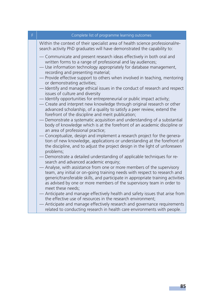| F. | Complete list of programme learning outcomes                                                                                                                                                                                                                                                                                                                                                                                                                                                                                                                                                                                                                                                                                                                                                                                                                                                                                                                                                                                                   |
|----|------------------------------------------------------------------------------------------------------------------------------------------------------------------------------------------------------------------------------------------------------------------------------------------------------------------------------------------------------------------------------------------------------------------------------------------------------------------------------------------------------------------------------------------------------------------------------------------------------------------------------------------------------------------------------------------------------------------------------------------------------------------------------------------------------------------------------------------------------------------------------------------------------------------------------------------------------------------------------------------------------------------------------------------------|
|    | Within the context of their specialist area of health science professional/re-<br>search activity PhD graduates will have demonstrated the capability to:                                                                                                                                                                                                                                                                                                                                                                                                                                                                                                                                                                                                                                                                                                                                                                                                                                                                                      |
|    | - Communicate and present research ideas effectively in both oral and<br>written forms to a range of professional and lay audiences;<br>- Use information technology appropriately for database management,<br>recording and presenting material;<br>- Provide effective support to others when involved in teaching, mentoring<br>or demonstrating activities;<br>- Identify and manage ethical issues in the conduct of research and respect<br>issues of culture and diversity<br>- Identify opportunities for entrepreneurial or public impact activity;<br>- Create and interpret new knowledge through original research or other<br>advanced scholarship, of a quality to satisfy a peer review, extend the<br>forefront of the discipline and merit publication;<br>Demonstrate a systematic acquisition and understanding of a substantial<br>body of knowledge which is at the forefront of an academic discipline or<br>an area of professional practice;<br>Conceptualize, design and implement a research project for the genera- |
|    | tion of new knowledge, applications or understanding at the forefront of<br>the discipline, and to adjust the project design in the light of unforeseen<br>problems;                                                                                                                                                                                                                                                                                                                                                                                                                                                                                                                                                                                                                                                                                                                                                                                                                                                                           |
|    | -Demonstrate a detailed understanding of applicable techniques for re-<br>search and advanced academic enquiry;                                                                                                                                                                                                                                                                                                                                                                                                                                                                                                                                                                                                                                                                                                                                                                                                                                                                                                                                |
|    | Analyse, with assistance from one or more members of the supervisory<br>team, any initial or on-going training needs with respect to research and<br>generic/transferable skills, and participate in appropriate training activities<br>as advised by one or more members of the supervisory team in order to<br>meet these needs;                                                                                                                                                                                                                                                                                                                                                                                                                                                                                                                                                                                                                                                                                                             |
|    | Anticipate and manage effectively health and safety issues that arise from<br>the effective use of resources in the research environment:<br>- Anticipate and manage effectively research and governance requirements<br>related to conducting research in health care environments with people.                                                                                                                                                                                                                                                                                                                                                                                                                                                                                                                                                                                                                                                                                                                                               |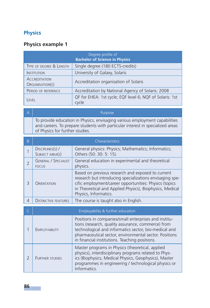# **Physics**

# **Physics example 1**

| Degree profile of<br><b>Bachelor of Science in Physics</b> |                                                                   |
|------------------------------------------------------------|-------------------------------------------------------------------|
| TYPE OF DEGREE & LENGTH                                    | Single degree (180 ECTS-credits)                                  |
| <b>INSTITUTION</b>                                         | University of Galaxy, Solaris                                     |
| <b>ACCREDITATION</b><br>ORGANISATION(S)                    | Accreditation organisation of Solaris                             |
| PERIOD OF REFERENCE                                        | Accreditation by National Agency of Solaris: 2008                 |
| EVFL                                                       | QF for EHEA: 1st cycle; EQF level 6; NQF of Solaris: 1st<br>cycle |

A Purpose

To provide education in Physics, envisaging various employment capabilities and careers. To prepare students with particular interest in specialized areas of Physics for further studies.

| B                        |                                             | Characteristics                                                                                                                                                                                                                                                                  |
|--------------------------|---------------------------------------------|----------------------------------------------------------------------------------------------------------------------------------------------------------------------------------------------------------------------------------------------------------------------------------|
| 1                        | DISCIPLINES(S) /<br>SUBJECT AREA(S)         | General physics: Physics; Mathematics; Informatics;<br>Others (50: 30: 5: 15).                                                                                                                                                                                                   |
| $\overline{\phantom{0}}$ | <b>GENERAL / SPECIALIST</b><br><b>FOCUS</b> | General education in experimental and theoretical<br>physics.                                                                                                                                                                                                                    |
| 3                        | ORIENTATION                                 | Based on previous research and exposed to current<br>research but introducing specializations envisaging spe-<br>cific employment/career opportunities: Physics (topics<br>in Theoretical and Applied Physics), Biophysics, Medical<br>Physics, Informatics.                     |
| $\overline{4}$           | <b>DISTINCTIVE FEATURES</b>                 | The course is taught also in English.                                                                                                                                                                                                                                            |
| $\subset$                |                                             | Employability & further education                                                                                                                                                                                                                                                |
| 1                        | EMPLOYABILITY                               | Positions in companies/small enterprises and institu-<br>tions (research, quality assurance, commerce) from<br>technological and informatics sector, bio-medical and<br>pharmaceutical sector, environmental sector. Positions<br>in financial institutions. Teaching positions. |
| $\overline{2}$           | <b>FURTHER STUDIES</b>                      | Master programs in Physics (theoretical, applied<br>physics), interdisciplinary programs related to Phys-<br>ics (Biophysics, Medical Physics, Geophysics), Master<br>programmes in engineering / technological physics or                                                       |

Informatics.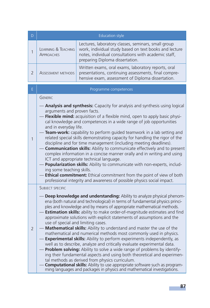| D              | <b>Education style</b>                                                                                                                                                                                                                                                                                                                                                                                                                                                                                                                                                                                                                                                                                                                                                                                                                                                                                                                                                                                                                                                                                                            |                                                                                                                                                                                                          |
|----------------|-----------------------------------------------------------------------------------------------------------------------------------------------------------------------------------------------------------------------------------------------------------------------------------------------------------------------------------------------------------------------------------------------------------------------------------------------------------------------------------------------------------------------------------------------------------------------------------------------------------------------------------------------------------------------------------------------------------------------------------------------------------------------------------------------------------------------------------------------------------------------------------------------------------------------------------------------------------------------------------------------------------------------------------------------------------------------------------------------------------------------------------|----------------------------------------------------------------------------------------------------------------------------------------------------------------------------------------------------------|
| 1              | <b>LEARNING &amp; TEACHING</b><br><b>APPROACHES</b>                                                                                                                                                                                                                                                                                                                                                                                                                                                                                                                                                                                                                                                                                                                                                                                                                                                                                                                                                                                                                                                                               | Lectures, laboratory classes, seminars, small group<br>work, individual study based on text books and lecture<br>notes, individual consultations with academic staff,<br>preparing Diploma dissertation. |
| $\overline{2}$ | <b>ASSESSMENT METHODS</b>                                                                                                                                                                                                                                                                                                                                                                                                                                                                                                                                                                                                                                                                                                                                                                                                                                                                                                                                                                                                                                                                                                         | Written exams, oral exams, laboratory reports, oral<br>presentations, continuing assessments, final compre-<br>hensive exam, assessment of Diploma dissertation.                                         |
| E              |                                                                                                                                                                                                                                                                                                                                                                                                                                                                                                                                                                                                                                                                                                                                                                                                                                                                                                                                                                                                                                                                                                                                   | Programme competences                                                                                                                                                                                    |
| $\mathbf{1}$   | <b>GENERIC</b><br>- Analysis and synthesis: Capacity for analysis and synthesis using logical<br>arguments and proven facts.<br>- Flexible mind: acquisition of a flexible mind, open to apply basic physi-<br>cal knowledge and competences in a wide range of job opportunities<br>and in everyday life.<br>Team-work: capability to perform guided teamwork in a lab setting and<br>related special skills demonstrating capacity for handling the rigor of the<br>discipline and for time management (including meeting deadlines).<br>- Communication skills: Ability to communicate effectively and to present<br>complex information in a concise manner orally and in writing and using<br>ICT and appropriate technical language.<br>- Popularization skills: Ability to communicate with non-experts, includ-<br>ing some teaching skills.<br>Ethical commitment: Ethical commitment from the point of view of both<br>professional integrity and awareness of possible physics social impact.                                                                                                                          |                                                                                                                                                                                                          |
| $\overline{2}$ | <b>SUBJECT SPECIFIC</b><br>Deep knowledge and understanding: Ability to analyze physical phenom-<br>ena (both natural and technological) in terms of fundamental physics princi-<br>ples and knowledge and by means of appropriate mathematical methods.<br>Estimation skills: ability to make order-of-magnitude estimates and find<br>approximate solutions with explicit statements of assumptions and the<br>use of special and limiting cases.<br>- Mathematical skills: Ability to understand and master the use of the<br>mathematical and numerical methods most commonly used in physics.<br>- Experimental skills: Ability to perform experiments independently, as<br>well as to describe, analyze and critically evaluate experimental data.<br>Problem solving: Ability to solve a wide range of problems by identify-<br>ing their fundamental aspects and using both theoretical and experimen-<br>tal methods as derived from physics curriculum.<br><b>Computational skills:</b> Ability to use appropriate software such as program-<br>ming languages and packages in physics and mathematical investigations. |                                                                                                                                                                                                          |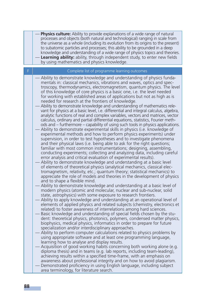|   | Physics culture: Ability to provide explanations of a wide range of natural<br>processes and objects (both natural and technological) ranging in scale from<br>the universe as a whole (including its evolution from its origins to the present)<br>to subatomic particles and processes; this ability to be grounded in a deep<br>knowledge and understanding of a wide range of physics topics and theories.<br>Learning ability: ability, through independent study, to enter new fields<br>by using mathematics and physics knowledge.                                                                                                                                                                                                                                                                                                                                                                                                                                                                                                                                                                                                                                                                                                                                                                                                                                                                                                                                                                                                                                                                                                                                                                                                                                                                                                                                                                                                                                                                                                                                                                                                                                                                                                                                                                                                                                                                                                                                                                                                                                                                                                                                                                                                                                                                                                                                                                                                                                                                                                                                                                               |
|---|--------------------------------------------------------------------------------------------------------------------------------------------------------------------------------------------------------------------------------------------------------------------------------------------------------------------------------------------------------------------------------------------------------------------------------------------------------------------------------------------------------------------------------------------------------------------------------------------------------------------------------------------------------------------------------------------------------------------------------------------------------------------------------------------------------------------------------------------------------------------------------------------------------------------------------------------------------------------------------------------------------------------------------------------------------------------------------------------------------------------------------------------------------------------------------------------------------------------------------------------------------------------------------------------------------------------------------------------------------------------------------------------------------------------------------------------------------------------------------------------------------------------------------------------------------------------------------------------------------------------------------------------------------------------------------------------------------------------------------------------------------------------------------------------------------------------------------------------------------------------------------------------------------------------------------------------------------------------------------------------------------------------------------------------------------------------------------------------------------------------------------------------------------------------------------------------------------------------------------------------------------------------------------------------------------------------------------------------------------------------------------------------------------------------------------------------------------------------------------------------------------------------------------------------------------------------------------------------------------------------------------------------------------------------------------------------------------------------------------------------------------------------------------------------------------------------------------------------------------------------------------------------------------------------------------------------------------------------------------------------------------------------------------------------------------------------------------------------------------------------------|
| F | Complete list of programme learning outcomes                                                                                                                                                                                                                                                                                                                                                                                                                                                                                                                                                                                                                                                                                                                                                                                                                                                                                                                                                                                                                                                                                                                                                                                                                                                                                                                                                                                                                                                                                                                                                                                                                                                                                                                                                                                                                                                                                                                                                                                                                                                                                                                                                                                                                                                                                                                                                                                                                                                                                                                                                                                                                                                                                                                                                                                                                                                                                                                                                                                                                                                                             |
|   | Ability to demonstrate knowledge and understanding of physics funda-<br>mentals in: classical mechanics, vibrations and waves, optics and spec-<br>troscopy, thermodynamics, electromagnetism, quantum physics. The level<br>of this knowledge of core physics is a basic one, i.e. the level needed<br>for working with established areas of applications but not as high as is<br>needed for research at the frontiers of knowledge.<br>Ability to demonstrate knowledge and understanding of mathematics rele-<br>vant for physics at a basic level, i.e. differential and integral calculus, algebra,<br>analytic functions of real and complex variables, vectors and matrices, vector<br>calculus, ordinary and partial differential equations, statistics, Fourier meth-<br>ods and – furthermore – capability of using such tools in physics applications.<br>Ability to demonstrate experimental skills in physics (i.e. knowledge of<br>experimental methods and how to perform physics experiments) under<br>supervision, in order to test hypotheses and to investigate phenomena<br>and their physical laws (i.e. being able to ask for the right questions;<br>familiar with most common instrumentations; designing, assembling,<br>conducting experiments; collecting and analyzing data, including careful<br>error analysis and critical evaluation of experimental results).<br>Ability to demonstrate knowledge and understanding at a basic level<br>of elements of theoretical physics (analytical mechanics, classical elec-<br>tromagnetism, relativity, etc.; quantum theory; statistical mechanics) to<br>appreciate the role of models and theories in the development of physics<br>and to shape a flexible mind.<br>Ability to demonstrate knowledge and understanding at a basic level of<br>modern physics (atomic and molecular, nuclear and sub-nuclear, solid<br>state, astrophysics) with some exposure to research frontiers.<br>Ability to apply knowledge and understanding at an operational level of<br>elements of applied physics and related subjects (chemistry, electronics et<br>related) to foster awareness of interrelations among hard sciences.<br>Basic knowledge and understanding of special fields chosen by the stu-<br>dent: theoretical physics, photonics, polymers, condensed matter physics,<br>biophysics, medical physics, informatics in order to prepare for future<br>specialization and/or interdisciplinary approaches.<br>Ability to perform computer calculations related to physics problems by<br>using appropriate software and at least one programming language,<br>learning how to analyse and display results.<br>Acquisition of good working habits concerning both working alone (e.g.<br>diploma thesis) and in teams (e.g. lab reports, including team-leading),<br>achieving results within a specified time-frame, with an emphasis on<br>awareness about professional integrity and on how to avoid plagiarism.<br>Demonstrated proficiency in using English language, including subject<br>area terminology, for literature search. |
|   |                                                                                                                                                                                                                                                                                                                                                                                                                                                                                                                                                                                                                                                                                                                                                                                                                                                                                                                                                                                                                                                                                                                                                                                                                                                                                                                                                                                                                                                                                                                                                                                                                                                                                                                                                                                                                                                                                                                                                                                                                                                                                                                                                                                                                                                                                                                                                                                                                                                                                                                                                                                                                                                                                                                                                                                                                                                                                                                                                                                                                                                                                                                          |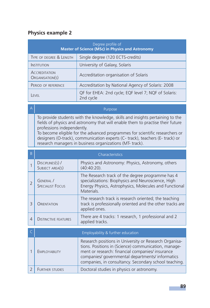# **Physics example 2**

| Degree profile of<br><b>Master of Science (MSc) in Physics and Astronomy</b> |                                                                   |  |
|------------------------------------------------------------------------------|-------------------------------------------------------------------|--|
| TYPE OF DEGREE & LENGTH                                                      | Single degree (120 ECTS-credits)                                  |  |
| <b>INSTITUTION</b>                                                           | University of Galaxy, Solaris                                     |  |
| <b>ACCREDITATION</b><br>ORGANISATION(S)                                      | Accreditation organisation of Solaris                             |  |
| PERIOD OF REFERENCE                                                          | Accreditation by National Agency of Solaris: 2008                 |  |
| FVFL                                                                         | QF for EHEA: 2nd cycle; EQF level 7; NQF of Solaris:<br>2nd cycle |  |

A Purpose and the contract of the contract of the Purpose

To provide students with the knowledge, skills and insights pertaining to the fields of physics and astronomy that will enable them to practise their future professions independently.

To become eligible for the advanced programmes for scientific researchers or designers (O-track), communication experts (C- track), teachers (E- track) or research managers in business organizations (MT- track).

| B             |                                      | Characteristics                                                                                                                                                                                                                                                                 |
|---------------|--------------------------------------|---------------------------------------------------------------------------------------------------------------------------------------------------------------------------------------------------------------------------------------------------------------------------------|
|               | DISCIPLINES(S) /<br>SUBJECT AREA(S)  | Physics and Astronomy: Physics, Astronomy, others<br>$(40:40:20)$ .                                                                                                                                                                                                             |
| $\mathcal{P}$ | GENERAL /<br><b>SPECIALIST FOCUS</b> | The Research track of the degree programme has 4<br>specializations: Biophysics and Neuroscience, High<br>Energy Physics, Astrophysics, Molecules and Functional<br>Materials.                                                                                                  |
| 3             | ORIENTATION                          | The research track is research oriented; the teaching<br>track is professionally oriented and the other tracks are<br>applied ones.                                                                                                                                             |
| 4             | <b>DISTINCTIVE FEATURES</b>          | There are 4 tracks: 1 research, 1 professional and 2<br>applied tracks.                                                                                                                                                                                                         |
|               |                                      |                                                                                                                                                                                                                                                                                 |
|               |                                      | Employability & further education                                                                                                                                                                                                                                               |
|               | EMPLOYABILITY                        | Research positions in University or Research Organisa-<br>tions. Positions in (Science) communication, manage-<br>ment or research: financial companies/ insurance<br>companies/ governmental departments/ informatics<br>companies, in consultancy. Secondary school teaching. |
| $\mathcal{P}$ | <b>FURTHER STUDIES</b>               | Doctoral studies in physics or astronomy.                                                                                                                                                                                                                                       |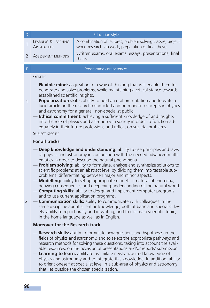| D              |                                                                                                                                                                                                                                                                                                                                                                                                                                                                                                                                                                                                                                                                 | <b>Education style</b>                                                                                                                                                                                                                                                                                                                                                                                                                                                                                                                                                                                                                                                                                                                                                                                                                                                                                                                                                                                                                                                                                                                                                                                                                                                                                                                                                                                                                                                                                                                                                                                                               |
|----------------|-----------------------------------------------------------------------------------------------------------------------------------------------------------------------------------------------------------------------------------------------------------------------------------------------------------------------------------------------------------------------------------------------------------------------------------------------------------------------------------------------------------------------------------------------------------------------------------------------------------------------------------------------------------------|--------------------------------------------------------------------------------------------------------------------------------------------------------------------------------------------------------------------------------------------------------------------------------------------------------------------------------------------------------------------------------------------------------------------------------------------------------------------------------------------------------------------------------------------------------------------------------------------------------------------------------------------------------------------------------------------------------------------------------------------------------------------------------------------------------------------------------------------------------------------------------------------------------------------------------------------------------------------------------------------------------------------------------------------------------------------------------------------------------------------------------------------------------------------------------------------------------------------------------------------------------------------------------------------------------------------------------------------------------------------------------------------------------------------------------------------------------------------------------------------------------------------------------------------------------------------------------------------------------------------------------------|
| 1              | <b>LEARNING &amp; TEACHING</b><br><b>APPROACHES</b>                                                                                                                                                                                                                                                                                                                                                                                                                                                                                                                                                                                                             | A combination of lectures, problem solving classes, project<br>work, research lab work, preparation of final thesis.                                                                                                                                                                                                                                                                                                                                                                                                                                                                                                                                                                                                                                                                                                                                                                                                                                                                                                                                                                                                                                                                                                                                                                                                                                                                                                                                                                                                                                                                                                                 |
| 2              | ASSESSMENT METHODS                                                                                                                                                                                                                                                                                                                                                                                                                                                                                                                                                                                                                                              | Written exams, oral exams, essays, presentations, final<br>thesis.                                                                                                                                                                                                                                                                                                                                                                                                                                                                                                                                                                                                                                                                                                                                                                                                                                                                                                                                                                                                                                                                                                                                                                                                                                                                                                                                                                                                                                                                                                                                                                   |
| E.             |                                                                                                                                                                                                                                                                                                                                                                                                                                                                                                                                                                                                                                                                 | Programme competences                                                                                                                                                                                                                                                                                                                                                                                                                                                                                                                                                                                                                                                                                                                                                                                                                                                                                                                                                                                                                                                                                                                                                                                                                                                                                                                                                                                                                                                                                                                                                                                                                |
| 1              | <b>GENERIC</b><br>Flexible mind: acquisition of a way of thinking that will enable them to<br>penetrate and solve problems, while maintaining a critical stance towards<br>established scientific insights.<br>Popularization skills: ability to hold an oral presentation and to write a<br>lucid article on the research conducted and on modern concepts in physics<br>and astronomy for a general, non-specialist public.<br>- Ethical commitment: achieving a sufficient knowledge of and insights<br>into the role of physics and astronomy in society in order to function ad-<br>equately in their future professions and reflect on societal problems. |                                                                                                                                                                                                                                                                                                                                                                                                                                                                                                                                                                                                                                                                                                                                                                                                                                                                                                                                                                                                                                                                                                                                                                                                                                                                                                                                                                                                                                                                                                                                                                                                                                      |
| $\overline{2}$ | SURIECT SPECIFIC<br>For all tracks<br><b>Moreover for the Research track</b>                                                                                                                                                                                                                                                                                                                                                                                                                                                                                                                                                                                    | Deep knowledge and understanding: ability to use principles and laws<br>of physics and astronomy in conjunction with the needed advanced math-<br>ematics in order to describe the natural phenomena.<br>Problem solving: ability to formulate, analyse and synthesize solutions to<br>scientific problems at an abstract level by dividing them into testable sub-<br>problems, differentiating between major and minor aspects.<br>Modelling: ability to set up appropriate models of natural phenomena,<br>deriving consequences and deepening understanding of the natural world.<br><b>Computing skills:</b> ability to design and implement computer programs<br>and to use current application programs.<br><b>Communication skills:</b> ability to communicate with colleagues in the<br>same discipline about scientific knowledge, both at basic and specialist lev-<br>els; ability to report orally and in writing, and to discuss a scientific topic,<br>in the home language as well as in English.<br>Research skills: ability to formulate new questions and hypotheses in the<br>fields of physics and astronomy, and to select the appropriate pathways and<br>research methods for solving these questions, taking into account the avail-<br>able resources, on the occasion of presentations and/or reports' submission.<br>Learning to learn: ability to assimilate newly acquired knowledge of<br>physics and astronomy and to integrate this knowledge. In addition, ability<br>to orient oneself at specialist level in a sub-area of physics and astronomy<br>that lies outside the chosen specialization. |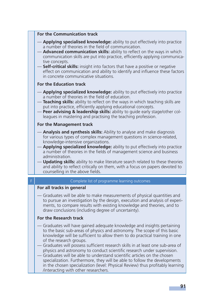#### **For the Communication track**

- **Applying specialised knowledge:** ability to put effectively into practice a number of theories in the field of communication.
- **Advanced communication skills:** ability to reflect on the ways in which communication skills are put into practice, efficiently applying communicative concepts.
- **Self-critical skills:** insight into factors that have a positive or negative effect on communication and ability to identify and influence these factors in concrete communicative situations.

#### **For the Education track**

- **Applying specialized knowledge:** ability to put effectively into practice a number of theories in the field of education.
- **Teaching skills:** ability to reflect on the ways in which teaching skills are put into practice, efficiently applying educational concepts.
- **Peer advising & leadership skills:** ability to guide early stage/other colleagues in mastering and practising the teaching profession.

#### **For the Management track**

- **Analysis and synthesis skills:** Ability to analyse and make diagnosis for various types of complex management questions in science-related, knowledge-intensive organizations.
- **Applying specialized knowledge:** ability to put effectively into practice a number of theories in the fields of management science and business administration.
- **Updating skills:** ability to make literature search related to these theories and ability to reflect critically on them, with a focus on papers devoted to counselling in the above fields.

#### Complete list of programme learning outcomes

#### **For all tracks in general**

— Graduates will be able to make measurements of physical quantities and to pursue an investigation by the design, execution and analysis of experiments, to compare results with existing knowledge and theories, and to draw conclusions (including degree of uncertainty).

#### **For the Research track**

- Graduates will have gained adequate knowledge and insights pertaining to the basic sub-areas of physics and astronomy. The scope of this basic knowledge will be sufficient to allow them to do practical training in one of the research groups.
- Graduates will possess sufficient research skills in at least one sub-area of physics and astronomy to conduct scientific research under supervision.
- Graduates will be able to understand scientific articles on the chosen specialization. Furthermore, they will be able to follow the developments in the chosen specialization (level: Physical Review) thus profitably learning /interacting with other researchers.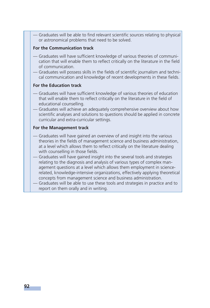- Graduates will be able to find relevant scientific sources relating to physical or astronomical problems that need to be solved.

#### **For the Communication track**

- Graduates will have sufficient knowledge of various theories of communication that will enable them to reflect critically on the literature in the field of communication.
- Graduates will possess skills in the fields of scientific journalism and technical communication and knowledge of recent developments in these fields.

#### **For the Education track**

- Graduates will have sufficient knowledge of various theories of education that will enable them to reflect critically on the literature in the field of educational counselling.
- Graduates will achieve an adequately comprehensive overview about how scientific analyses and solutions to questions should be applied in concrete curricular and extra-curricular settings.

#### **For the Management track**

- Graduates will have gained an overview of and insight into the various theories in the fields of management science and business administration, at a level which allows them to reflect critically on the literature dealing with counselling in those fields.
- Graduates will have gained insight into the several tools and strategies relating to the diagnosis and analysis of various types of complex management questions at a level which allows them employment in sciencerelated, knowledge-intensive organizations, effectively applying theoretical concepts from management science and business administration.
- Graduates will be able to use these tools and strategies in practice and to report on them orally and in writing.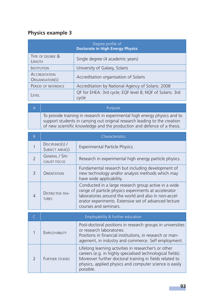# **Physics example 3**

| Degree profile of<br><b>Doctorate in High Energy Physics</b> |                                                                   |  |
|--------------------------------------------------------------|-------------------------------------------------------------------|--|
| TYPE OF DEGREE &<br>LENGTH                                   | Single degree (4 academic years)                                  |  |
| <b>INSTITUTION</b>                                           | University of Galaxy, Solaris                                     |  |
| <b>ACCREDITATION</b><br>ORGANISATION(S)                      | Accreditation organisation of Solaris                             |  |
| PERIOD OF REFERENCE                                          | Accreditation by National Agency of Solaris: 2008                 |  |
| <b>FVFI</b>                                                  | QF for EHEA: 3rd cycle; EQF level 8; NQF of Solaris: 3rd<br>cycle |  |

A Purpose To provide training in research in experimental high energy physics and to support students in carrying out original research leading to the creation of new scientific knowledge and the production and defence of a thesis.

| B              | Characteristics                               |                                                                                                                                                                                                                                                        |
|----------------|-----------------------------------------------|--------------------------------------------------------------------------------------------------------------------------------------------------------------------------------------------------------------------------------------------------------|
|                | DISCIPLINES(S) /<br>SUBJECT AREA(S)           | Experimental Particle Physics.                                                                                                                                                                                                                         |
| $\overline{2}$ | <b>GENERAL / SPE-</b><br><b>CIALIST FOCUS</b> | Research in experimental high energy particle physics.                                                                                                                                                                                                 |
| $\mathcal{R}$  | <b>ORIENTATION</b>                            | Fundamental research but including development of<br>new technology and/or analysis methods which may<br>have wide applicability.                                                                                                                      |
|                | <b>DISTINCTIVE FEA-</b><br><b>TURES</b>       | Conducted in a large research group active in a wide<br>range of particle physics experiments at accelerator<br>laboratories around the world and also in non-accel-<br>erator experiments. Extensive set of advanced lecture<br>courses and seminars. |

| Employability & further education |                                                                                                                                                                                                                                                        |
|-----------------------------------|--------------------------------------------------------------------------------------------------------------------------------------------------------------------------------------------------------------------------------------------------------|
| <b>EMPLOYABILITY</b>              | Post-doctoral positions in research groups in universities<br>or research laboratories.<br>Positions in financial institutions, in research or man-<br>agement, in industry and commerce. Self employment.                                             |
| <b>FURTHER STUDIES</b>            | Lifelong learning activities in researcher's or other<br>careers (e.g. in highly specialised technological fields).<br>Moreover further doctoral training in fields related to<br>physics, applied physics and computer science is easily<br>possible. |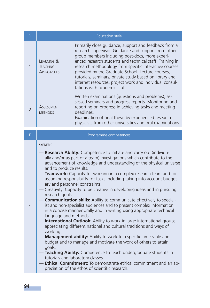| D                        | <b>Education style</b>                                |                                                                                                                                                                                                                                                                                                                                                                                                                                                                                                   |
|--------------------------|-------------------------------------------------------|---------------------------------------------------------------------------------------------------------------------------------------------------------------------------------------------------------------------------------------------------------------------------------------------------------------------------------------------------------------------------------------------------------------------------------------------------------------------------------------------------|
|                          | <b>FARNING &amp;</b><br>TEACHING<br><b>APPROACHES</b> | Primarily close guidance, support and feedback from a<br>research supervisor. Guidance and support from other<br>group members including post-docs, more experi-<br>enced research students and technical staff. Training in<br>research methodology from specific interactive courses<br>provided by the Graduate School. Lecture courses,<br>tutorials, seminars, private study based on library and<br>internet resources, project work and individual consul-<br>tations with academic staff. |
| $\overline{\phantom{0}}$ | ASSESSMENT<br><b>METHODS</b>                          | Written examinations (questions and problems), as-<br>sessed seminars and progress reports. Monitoring and<br>reporting on progress in achieving tasks and meeting<br>deadlines.<br>Examination of final thesis by experienced research<br>physicists from other universities and oral examinations.                                                                                                                                                                                              |

# E **Programme competences**

### GENERIC

|   | - Research Ability: Competence to initiate and carry out (individu-<br>ally and/or as part of a team) investigations which contribute to the<br>advancement of knowledge and understanding of the physical universe<br>and to produce results.         |
|---|--------------------------------------------------------------------------------------------------------------------------------------------------------------------------------------------------------------------------------------------------------|
|   | — <b>Teamwork:</b> Capacity for working in a complex research team and for<br>assuming responsibility for tasks including taking into account budget-<br>ary and personnel constraints.                                                                |
|   | - Creativity: Capacity to be creative in developing ideas and in pursuing<br>research goals.                                                                                                                                                           |
| 1 | - <b>Communication skills:</b> Ability to communicate effectively to special-<br>ist and non-specialist audiences and to present complex information<br>in a concise manner orally and in writing using appropriate technical<br>language and methods. |
|   | - International Outlook: Ability to work in large international groups<br>appreciating different national and cultural traditions and ways of<br>working.                                                                                              |
|   | - Management ability: Ability to work to a specific time scale and<br>budget and to manage and motivate the work of others to attain<br>goals.                                                                                                         |
|   | -Teaching Ability: Competence to teach undergraduate students in<br>tutorials and laboratory classes.                                                                                                                                                  |
|   | - Ethical Commitment: To demonstrate ethical commitment and an ap-<br>preciation of the ethos of scientific research.                                                                                                                                  |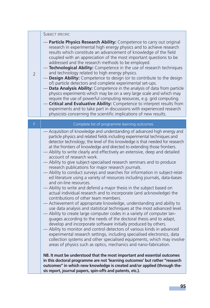#### SUBJECT SPECIFIC

 $\overline{2}$ 

- **Particle Physics Research Ability:** Competence to carry out original research in experimental high energy physics and to achieve research results which constitute an advancement of knowledge of the field coupled with an appreciation of the most important questions to be addressed and the research methods to be employed.
- **Technological Ability:** Competence in the use of research techniques and technology related to high energy physics.
- **Design Ability:** Competence to design (or to contribute to the design of) particle detectors and complete experimental set-ups.
- **Data Analysis Ability:** Competence in the analysis of data from particle physics experiments which may be on a very large scale and which may require the use of powerful computing resources, e.g. grid computing.
- **Critical and Evaluative Ability:** Competence to interpret results from experiments and to take part in discussions with experienced research physicists concerning the scientific implications of new results.

| F. | Complete list of programme learning outcomes                                                                                                                                                                                                                                                                                                                                                                                                                                                                                                                                                                                                                                                                                                                                                                                                                                                                                                                                                                                                                                                                                                                                                                                                                                                                                                                                                                                                                                                                                                                                                                                                                                                                                                                                                                                                             |
|----|----------------------------------------------------------------------------------------------------------------------------------------------------------------------------------------------------------------------------------------------------------------------------------------------------------------------------------------------------------------------------------------------------------------------------------------------------------------------------------------------------------------------------------------------------------------------------------------------------------------------------------------------------------------------------------------------------------------------------------------------------------------------------------------------------------------------------------------------------------------------------------------------------------------------------------------------------------------------------------------------------------------------------------------------------------------------------------------------------------------------------------------------------------------------------------------------------------------------------------------------------------------------------------------------------------------------------------------------------------------------------------------------------------------------------------------------------------------------------------------------------------------------------------------------------------------------------------------------------------------------------------------------------------------------------------------------------------------------------------------------------------------------------------------------------------------------------------------------------------|
|    | — Acquisition of knowledge and understanding of advanced high energy and<br>particle physics and related fields including experimental techniques and<br>detector technology; the level of this knowledge is that needed for research<br>at the frontiers of knowledge and directed to extending those frontiers.<br>- Ability to write clearly and effectively an extensive, deep and detailed<br>account of research work.<br>- Ability to give subject-specialised research seminars and to produce<br>research publications for major research journals.<br>- Ability to conduct surveys and searches for information in subject-relat-<br>ed literature using a variety of resources including journals, data-bases<br>and on-line resources.<br>— Ability to write and defend a major thesis in the subject based on<br>actual individual research and to incorporate (and acknowledge) the<br>contributions of other team members.<br>- Achievement of appropriate knowledge, understanding and ability to<br>use data analysis and statistical techniques at the most advanced level.<br>- Ability to create large computer codes in a variety of computer lan-<br>guages according to the needs of the doctoral thesis and to adapt,<br>develop and incorporate software initially produced by others.<br>Ability to monitor and control detectors of various kinds in advanced<br>experimental research settings, including specialised electronics, data<br>collection systems and other specialised equipments, which may involve<br>areas of physics such as optics, mechanics and nano-fabrication.<br>NB. It must be understood that the most important and essential outcomes<br>in this doctoral programme are not 'learning outcomes' but rather "research<br>outcomes" in which new knowledge is created and/or applied (through the- |
|    | sis report, journal papers, spin-offs and patents, etc.).                                                                                                                                                                                                                                                                                                                                                                                                                                                                                                                                                                                                                                                                                                                                                                                                                                                                                                                                                                                                                                                                                                                                                                                                                                                                                                                                                                                                                                                                                                                                                                                                                                                                                                                                                                                                |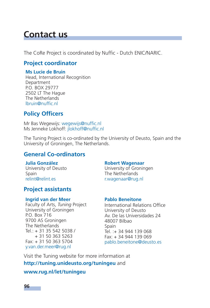# **Contact us**

The CoRe Project is coordinated by Nuffic - Dutch ENIC/NARIC.

# **Project coordinator**

### **Ms Lucie de Bruin**

Head, International Recognition Department P.O. BOX 29777 2502 LT The Hague The Netherlands lbruin@nuffic.nl

# **Policy Officers**

Mr Bas Wegewijs: wegewijs@nuffic.nl Ms Jenneke Lokhoff: jlokhoff@nuffic.nl

The Tuning Project is co-ordinated by the University of Deusto, Spain and the University of Groningen, The Netherlands.

# **General Co-ordinators**

# **Julia González**

University of Deusto Spain relint@relint.es

# **Project assistants**

### **Ingrid van der Meer**

Faculty of Arts, *Tuning* Project University of Groningen P.O. Box 716 9700 AS Groningen The Netherlands Tel.: + 31 35 542 5038 / + 31 50 363 5263 Fax: + 31 50 363 5704 y.van.der.meer@rug.nl

### **Robert Wagenaar**

University of Groningen The Netherlands r.wagenaar@rug.nl

### **Pablo Beneitone**

International Relations Office University of Deusto Av. De las Universidades 24 48007 Bilbao Spain Tel. :+ 34 944 139 068 Fax: + 34 944 139 069 pablo.beneitone@deusto.es

Visit the Tuning website for more information at **http://tuning.unideusto.org/tuningeu** and

# **www.rug.nl/let/tuningeu**